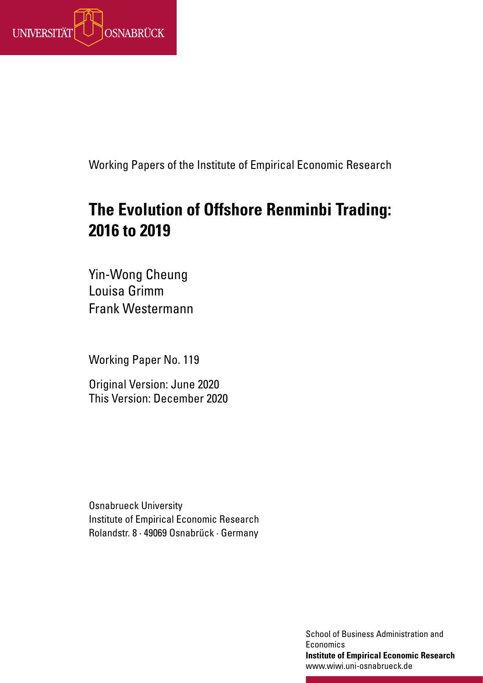

Working Papers of the Institute of Empirical Economic Research

# **The Evolution of Offshore Renminbi Trading: 2016 to 2019**

Yin-Wong Cheung Louisa Grimm Frank Westermann

Working Paper No. 119

Original Version: June 2020 This Version: December 2020

Osnabrueck University Institute of Empirical Economic Research Rolandstr. 8 · 49069 Osnabrück · Germany

> School of Business Administration and **Institute of Economics Institute of Empirical Economic Research** www.wiwi.uni-osnabrueck.de www.wiwi.uni-osnabrueck.de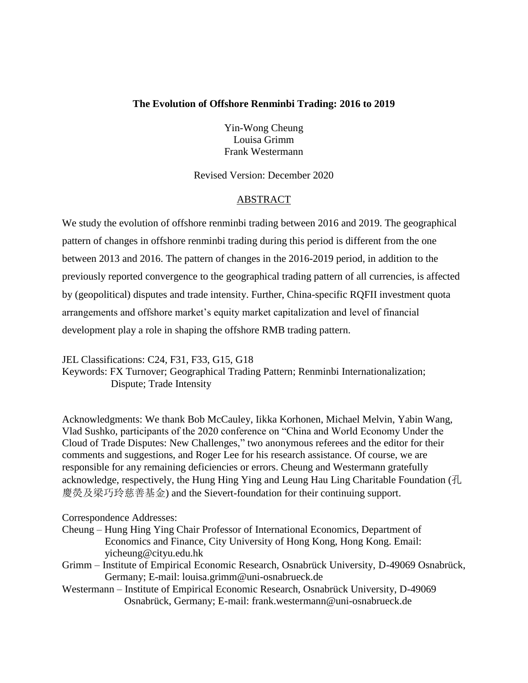## **The Evolution of Offshore Renminbi Trading: 2016 to 2019**

Yin-Wong Cheung Louisa Grimm Frank Westermann

Revised Version: December 2020

# ABSTRACT

We study the evolution of offshore renminbi trading between 2016 and 2019. The geographical pattern of changes in offshore renminbi trading during this period is different from the one between 2013 and 2016. The pattern of changes in the 2016-2019 period, in addition to the previously reported convergence to the geographical trading pattern of all currencies, is affected by (geopolitical) disputes and trade intensity. Further, China-specific RQFII investment quota arrangements and offshore market's equity market capitalization and level of financial development play a role in shaping the offshore RMB trading pattern.

JEL Classifications: C24, F31, F33, G15, G18 Keywords: FX Turnover; Geographical Trading Pattern; Renminbi Internationalization; Dispute; Trade Intensity

Acknowledgments: We thank Bob McCauley, Iikka Korhonen, Michael Melvin, Yabin Wang, Vlad Sushko, participants of the 2020 conference on "China and World Economy Under the Cloud of Trade Disputes: New Challenges," two anonymous referees and the editor for their comments and suggestions, and Roger Lee for his research assistance. Of course, we are responsible for any remaining deficiencies or errors. Cheung and Westermann gratefully acknowledge, respectively, the Hung Hing Ying and Leung Hau Ling Charitable Foundation (孔 慶熒及梁巧玲慈善基金) and the Sievert-foundation for their continuing support.

Correspondence Addresses:

- Cheung Hung Hing Ying Chair Professor of International Economics, Department of Economics and Finance, City University of Hong Kong, Hong Kong. Email: yicheung@cityu.edu.hk
- Grimm Institute of Empirical Economic Research, Osnabrück University, D-49069 Osnabrück, Germany; E-mail: louisa.grimm@uni-osnabrueck.de
- Westermann Institute of Empirical Economic Research, Osnabrück University, D-49069 Osnabrück, Germany; E-mail: [frank.westermann@uni-osnabrueck.de](mailto:frank.westermann@uni-osnabrueck.de)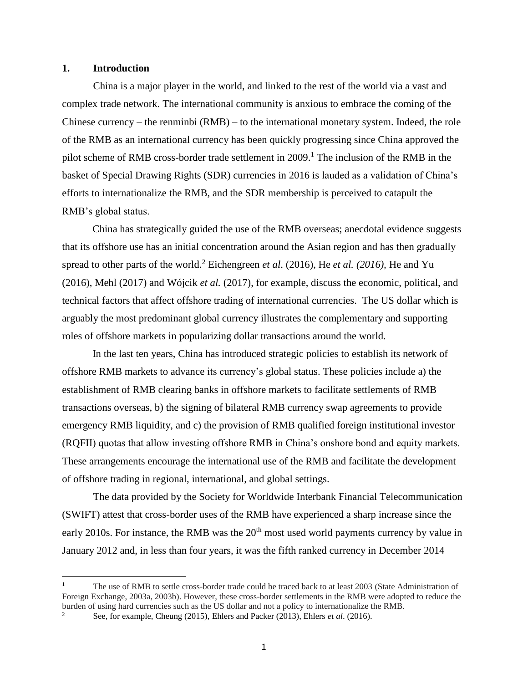#### **1. Introduction**

 $\overline{a}$ 

China is a major player in the world, and linked to the rest of the world via a vast and complex trade network. The international community is anxious to embrace the coming of the Chinese currency – the renminbi (RMB) – to the international monetary system. Indeed, the role of the RMB as an international currency has been quickly progressing since China approved the pilot scheme of RMB cross-border trade settlement in  $2009$ .<sup>1</sup> The inclusion of the RMB in the basket of Special Drawing Rights (SDR) currencies in 2016 is lauded as a validation of China's efforts to internationalize the RMB, and the SDR membership is perceived to catapult the RMB's global status.

China has strategically guided the use of the RMB overseas; anecdotal evidence suggests that its offshore use has an initial concentration around the Asian region and has then gradually spread to other parts of the world.<sup>2</sup> Eichengreen *et al.* (2016), He *et al.* (2016), He and Yu (2016), Mehl (2017) and [Wójcik](javascript:;) *et al.* (2017), for example, discuss the economic, political, and technical factors that affect offshore trading of international currencies. The US dollar which is arguably the most predominant global currency illustrates the complementary and supporting roles of offshore markets in popularizing dollar transactions around the world.

In the last ten years, China has introduced strategic policies to establish its network of offshore RMB markets to advance its currency's global status. These policies include a) the establishment of RMB clearing banks in offshore markets to facilitate settlements of RMB transactions overseas, b) the signing of bilateral RMB currency swap agreements to provide emergency RMB liquidity, and c) the provision of RMB qualified foreign institutional investor (RQFII) quotas that allow investing offshore RMB in China's onshore bond and equity markets. These arrangements encourage the international use of the RMB and facilitate the development of offshore trading in regional, international, and global settings.

The data provided by the Society for Worldwide Interbank Financial Telecommunication (SWIFT) attest that cross-border uses of the RMB have experienced a sharp increase since the early 2010s. For instance, the RMB was the  $20<sup>th</sup>$  most used world payments currency by value in January 2012 and, in less than four years, it was the fifth ranked currency in December 2014

<sup>1</sup> The use of RMB to settle cross-border trade could be traced back to at least 2003 (State Administration of Foreign Exchange, 2003a, 2003b). However, these cross-border settlements in the RMB were adopted to reduce the burden of using hard currencies such as the US dollar and not a policy to internationalize the RMB.

See, for example, Cheung (2015), Ehlers and Packer (2013), Ehlers *et al.* (2016).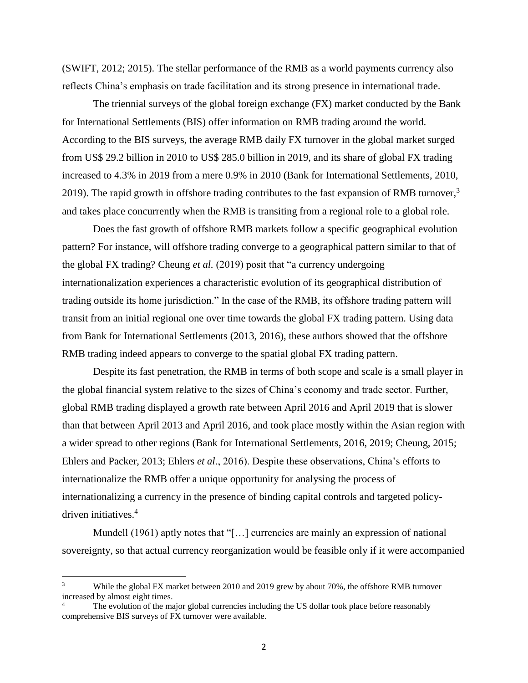(SWIFT, 2012; 2015). The stellar performance of the RMB as a world payments currency also reflects China's emphasis on trade facilitation and its strong presence in international trade.

The triennial surveys of the global foreign exchange (FX) market conducted by the Bank for International Settlements (BIS) offer information on RMB trading around the world. According to the BIS surveys, the average RMB daily FX turnover in the global market surged from US\$ 29.2 billion in 2010 to US\$ 285.0 billion in 2019, and its share of global FX trading increased to 4.3% in 2019 from a mere 0.9% in 2010 (Bank for International Settlements, 2010, 2019). The rapid growth in offshore trading contributes to the fast expansion of RMB turnover, $3$ and takes place concurrently when the RMB is transiting from a regional role to a global role.

Does the fast growth of offshore RMB markets follow a specific geographical evolution pattern? For instance, will offshore trading converge to a geographical pattern similar to that of the global FX trading? Cheung *et al.* (2019) posit that "a currency undergoing internationalization experiences a characteristic evolution of its geographical distribution of trading outside its home jurisdiction." In the case of the RMB, its offshore trading pattern will transit from an initial regional one over time towards the global FX trading pattern. Using data from Bank for International Settlements (2013, 2016), these authors showed that the offshore RMB trading indeed appears to converge to the spatial global FX trading pattern.

Despite its fast penetration, the RMB in terms of both scope and scale is a small player in the global financial system relative to the sizes of China's economy and trade sector. Further, global RMB trading displayed a growth rate between April 2016 and April 2019 that is slower than that between April 2013 and April 2016, and took place mostly within the Asian region with a wider spread to other regions (Bank for International Settlements, 2016, 2019; Cheung, 2015; Ehlers and Packer, 2013; [Ehlers](https://www.bis.org/author/torsten_ehlers.htm) *et al*., 2016). Despite these observations, China's efforts to internationalize the RMB offer a unique opportunity for analysing the process of internationalizing a currency in the presence of binding capital controls and targeted policydriven initiatives.<sup>4</sup>

Mundell (1961) aptly notes that "[...] currencies are mainly an expression of national sovereignty, so that actual currency reorganization would be feasible only if it were accompanied

 $\overline{a}$ 

<sup>3</sup> While the global FX market between 2010 and 2019 grew by about 70%, the offshore RMB turnover increased by almost eight times.

The evolution of the major global currencies including the US dollar took place before reasonably comprehensive BIS surveys of FX turnover were available.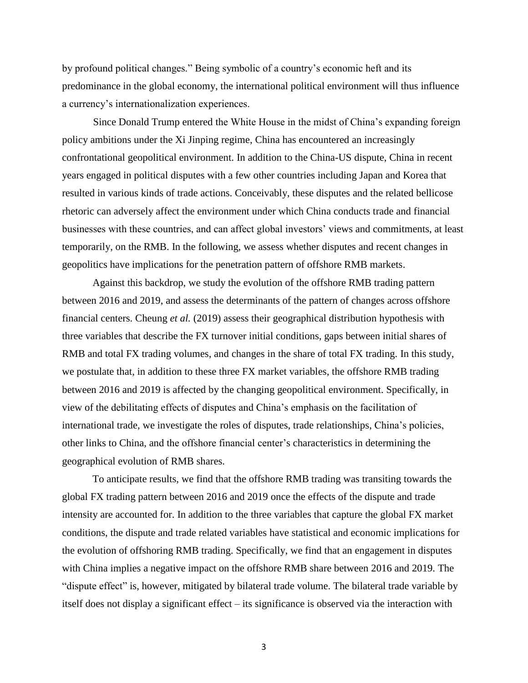by profound political changes." Being symbolic of a country's economic heft and its predominance in the global economy, the international political environment will thus influence a currency's internationalization experiences.

Since Donald Trump entered the White House in the midst of China's expanding foreign policy ambitions under the Xi Jinping regime, China has encountered an increasingly confrontational geopolitical environment. In addition to the China-US dispute, China in recent years engaged in political disputes with a few other countries including Japan and Korea that resulted in various kinds of trade actions. Conceivably, these disputes and the related bellicose rhetoric can adversely affect the environment under which China conducts trade and financial businesses with these countries, and can affect global investors' views and commitments, at least temporarily, on the RMB. In the following, we assess whether disputes and recent changes in geopolitics have implications for the penetration pattern of offshore RMB markets.

Against this backdrop, we study the evolution of the offshore RMB trading pattern between 2016 and 2019, and assess the determinants of the pattern of changes across offshore financial centers. Cheung *et al.* (2019) assess their geographical distribution hypothesis with three variables that describe the FX turnover initial conditions, gaps between initial shares of RMB and total FX trading volumes, and changes in the share of total FX trading. In this study, we postulate that, in addition to these three FX market variables, the offshore RMB trading between 2016 and 2019 is affected by the changing geopolitical environment. Specifically, in view of the debilitating effects of disputes and China's emphasis on the facilitation of international trade, we investigate the roles of disputes, trade relationships, China's policies, other links to China, and the offshore financial center's characteristics in determining the geographical evolution of RMB shares.

To anticipate results, we find that the offshore RMB trading was transiting towards the global FX trading pattern between 2016 and 2019 once the effects of the dispute and trade intensity are accounted for. In addition to the three variables that capture the global FX market conditions, the dispute and trade related variables have statistical and economic implications for the evolution of offshoring RMB trading. Specifically, we find that an engagement in disputes with China implies a negative impact on the offshore RMB share between 2016 and 2019. The "dispute effect" is, however, mitigated by bilateral trade volume. The bilateral trade variable by itself does not display a significant effect – its significance is observed via the interaction with

3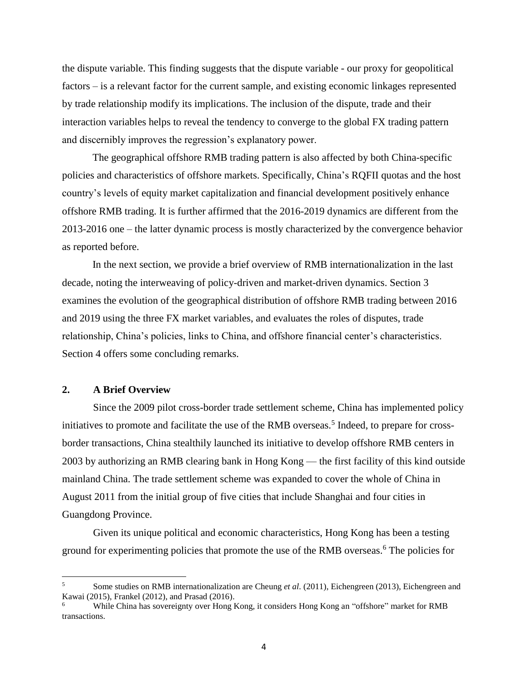the dispute variable. This finding suggests that the dispute variable - our proxy for geopolitical factors – is a relevant factor for the current sample, and existing economic linkages represented by trade relationship modify its implications. The inclusion of the dispute, trade and their interaction variables helps to reveal the tendency to converge to the global FX trading pattern and discernibly improves the regression's explanatory power.

The geographical offshore RMB trading pattern is also affected by both China-specific policies and characteristics of offshore markets. Specifically, China's RQFII quotas and the host country's levels of equity market capitalization and financial development positively enhance offshore RMB trading. It is further affirmed that the 2016-2019 dynamics are different from the 2013-2016 one – the latter dynamic process is mostly characterized by the convergence behavior as reported before.

In the next section, we provide a brief overview of RMB internationalization in the last decade, noting the interweaving of policy-driven and market-driven dynamics. Section 3 examines the evolution of the geographical distribution of offshore RMB trading between 2016 and 2019 using the three FX market variables, and evaluates the roles of disputes, trade relationship, China's policies, links to China, and offshore financial center's characteristics. Section 4 offers some concluding remarks.

### **2. A Brief Overview**

 $\overline{a}$ 

Since the 2009 pilot cross-border trade settlement scheme, China has implemented policy initiatives to promote and facilitate the use of the RMB overseas.<sup>5</sup> Indeed, to prepare for crossborder transactions, China stealthily launched its initiative to develop offshore RMB centers in 2003 by authorizing an RMB clearing bank in Hong Kong — the first facility of this kind outside mainland China. The trade settlement scheme was expanded to cover the whole of China in August 2011 from the initial group of five cities that include Shanghai and four cities in Guangdong Province.

Given its unique political and economic characteristics, Hong Kong has been a testing ground for experimenting policies that promote the use of the RMB overseas.<sup>6</sup> The policies for

<sup>5</sup> Some studies on RMB internationalization are Cheung *et al*. (2011), Eichengreen (2013), Eichengreen and Kawai (2015), Frankel (2012), and Prasad (2016).

<sup>6</sup> While China has sovereignty over Hong Kong, it considers Hong Kong an "offshore" market for RMB transactions.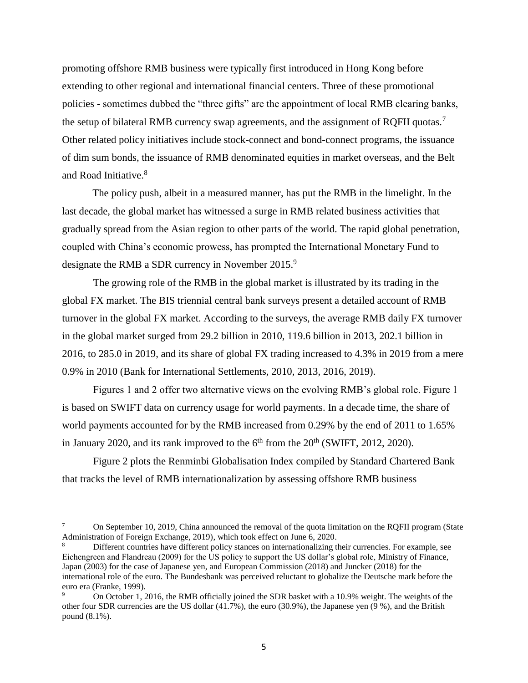promoting offshore RMB business were typically first introduced in Hong Kong before extending to other regional and international financial centers. Three of these promotional policies - sometimes dubbed the "three gifts" are the appointment of local RMB clearing banks, the setup of bilateral RMB currency swap agreements, and the assignment of RQFII quotas.<sup>7</sup> Other related policy initiatives include stock-connect and bond-connect programs, the issuance of dim sum bonds, the issuance of RMB denominated equities in market overseas, and the Belt and Road Initiative.<sup>8</sup>

The policy push, albeit in a measured manner, has put the RMB in the limelight. In the last decade, the global market has witnessed a surge in RMB related business activities that gradually spread from the Asian region to other parts of the world. The rapid global penetration, coupled with China's economic prowess, has prompted the International Monetary Fund to designate the RMB a SDR currency in November 2015.<sup>9</sup>

The growing role of the RMB in the global market is illustrated by its trading in the global FX market. The BIS triennial central bank surveys present a detailed account of RMB turnover in the global FX market. According to the surveys, the average RMB daily FX turnover in the global market surged from 29.2 billion in 2010, 119.6 billion in 2013, 202.1 billion in 2016, to 285.0 in 2019, and its share of global FX trading increased to 4.3% in 2019 from a mere 0.9% in 2010 (Bank for International Settlements, 2010, 2013, 2016, 2019).

Figures 1 and 2 offer two alternative views on the evolving RMB's global role. Figure 1 is based on SWIFT data on currency usage for world payments. In a decade time, the share of world payments accounted for by the RMB increased from 0.29% by the end of 2011 to 1.65% in January 2020, and its rank improved to the  $6<sup>th</sup>$  from the  $20<sup>th</sup>$  (SWIFT, 2012, 2020).

Figure 2 plots the Renminbi Globalisation Index compiled by Standard Chartered Bank that tracks the level of RMB internationalization by assessing offshore RMB business

 $\overline{a}$ 

<sup>7</sup> On September 10, 2019, China announced the removal of the quota limitation on the RQFII program (State Administration of Foreign Exchange, 2019), which took effect on June 6, 2020.

<sup>8</sup> Different countries have different policy stances on internationalizing their currencies. For example, see Eichengreen and Flandreau (2009) for the US policy to support the US dollar's global role, Ministry of Finance, Japan (2003) for the case of Japanese yen, and European Commission (2018) and Juncker (2018) for the international role of the euro. The Bundesbank was perceived reluctant to globalize the Deutsche mark before the euro era (Franke, 1999).

<sup>9</sup> On October 1, 2016, the RMB officially joined the SDR basket with a 10.9% weight. The weights of the other four SDR currencies are the US dollar (41.7%), the euro (30.9%), the Japanese yen (9 %), and the British pound (8.1%).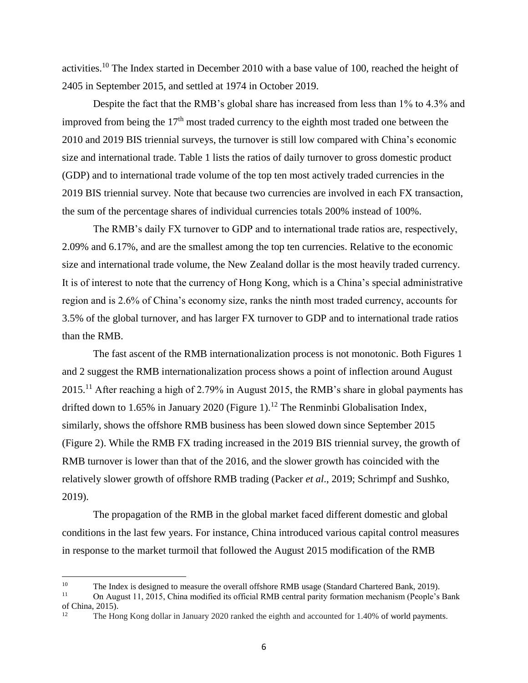activities.<sup>10</sup> The Index started in December 2010 with a base value of 100, reached the height of 2405 in September 2015, and settled at 1974 in October 2019.

Despite the fact that the RMB's global share has increased from less than 1% to 4.3% and improved from being the  $17<sup>th</sup>$  most traded currency to the eighth most traded one between the 2010 and 2019 BIS triennial surveys, the turnover is still low compared with China's economic size and international trade. Table 1 lists the ratios of daily turnover to gross domestic product (GDP) and to international trade volume of the top ten most actively traded currencies in the 2019 BIS triennial survey. Note that because two currencies are involved in each FX transaction, the sum of the percentage shares of individual currencies totals 200% instead of 100%.

The RMB's daily FX turnover to GDP and to international trade ratios are, respectively, 2.09% and 6.17%, and are the smallest among the top ten currencies. Relative to the economic size and international trade volume, the New Zealand dollar is the most heavily traded currency. It is of interest to note that the currency of Hong Kong, which is a China's special administrative region and is 2.6% of China's economy size, ranks the ninth most traded currency, accounts for 3.5% of the global turnover, and has larger FX turnover to GDP and to international trade ratios than the RMB.

The fast ascent of the RMB internationalization process is not monotonic. Both Figures 1 and 2 suggest the RMB internationalization process shows a point of inflection around August 2015.<sup>11</sup> After reaching a high of 2.79% in August 2015, the RMB's share in global payments has drifted down to 1.65% in January 2020 (Figure 1).<sup>12</sup> The Renminbi Globalisation Index, similarly, shows the offshore RMB business has been slowed down since September 2015 (Figure 2). While the RMB FX trading increased in the 2019 BIS triennial survey, the growth of RMB turnover is lower than that of the 2016, and the slower growth has coincided with the relatively slower growth of offshore RMB trading (Packer *et al*., 2019; Schrimpf and Sushko, 2019).

The propagation of the RMB in the global market faced different domestic and global conditions in the last few years. For instance, China introduced various capital control measures in response to the market turmoil that followed the August 2015 modification of the RMB

 $\overline{a}$ 

<sup>&</sup>lt;sup>10</sup> The Index is designed to measure the overall offshore RMB usage (Standard Chartered Bank, 2019).<br><sup>11</sup> On August 11, 2015, China modified its official BMB control party formation moghanism (Boople's)

On August 11, 2015, China modified its official RMB central parity formation mechanism (People's Bank of China, 2015).

<sup>12</sup> The Hong Kong dollar in January 2020 ranked the eighth and accounted for 1.40% of world payments.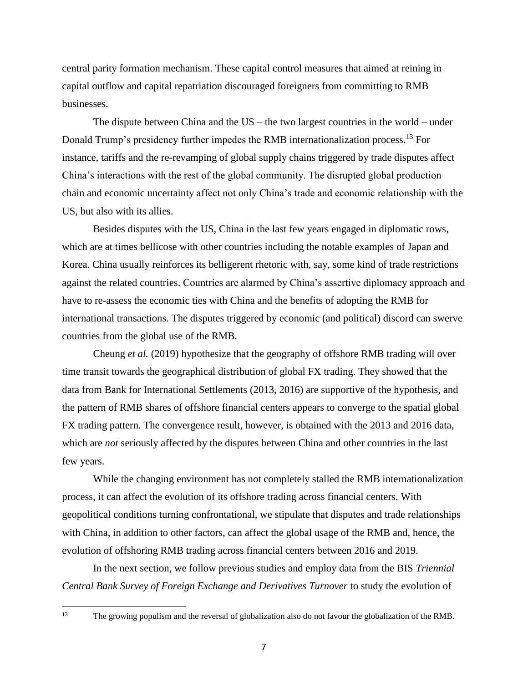central parity formation mechanism. These capital control measures that aimed at reining in capital outflow and capital repatriation discouraged foreigners from committing to RMB businesses.

The dispute between China and the US – the two largest countries in the world – under Donald Trump's presidency further impedes the RMB internationalization process.<sup>13</sup> For instance, tariffs and the re-revamping of global supply chains triggered by trade disputes affect China's interactions with the rest of the global community. The disrupted global production chain and economic uncertainty affect not only China's trade and economic relationship with the US, but also with its allies.

Besides disputes with the US, China in the last few years engaged in diplomatic rows, which are at times bellicose with other countries including the notable examples of Japan and Korea. China usually reinforces its belligerent rhetoric with, say, some kind of trade restrictions against the related countries. Countries are alarmed by China's assertive diplomacy approach and have to re-assess the economic ties with China and the benefits of adopting the RMB for international transactions. The disputes triggered by economic (and political) discord can swerve countries from the global use of the RMB.

Cheung *et al.* (2019) hypothesize that the geography of offshore RMB trading will over time transit towards the geographical distribution of global FX trading. They showed that the data from Bank for International Settlements (2013, 2016) are supportive of the hypothesis, and the pattern of RMB shares of offshore financial centers appears to converge to the spatial global FX trading pattern. The convergence result, however, is obtained with the 2013 and 2016 data, which are *not* seriously affected by the disputes between China and other countries in the last few years.

While the changing environment has not completely stalled the RMB internationalization process, it can affect the evolution of its offshore trading across financial centers. With geopolitical conditions turning confrontational, we stipulate that disputes and trade relationships with China, in addition to other factors, can affect the global usage of the RMB and, hence, the evolution of offshoring RMB trading across financial centers between 2016 and 2019.

In the next section, we follow previous studies and employ data from the BIS *Triennial Central Bank Survey of Foreign Exchange and Derivatives Turnover* to study the evolution of

 $\overline{\phantom{a}}$ 

<sup>&</sup>lt;sup>13</sup> The growing populism and the [reversal of globalization](https://www.wsj.com/articles/whatever-happened-to-free-trade-1490800293) also do not favour the globalization of the RMB.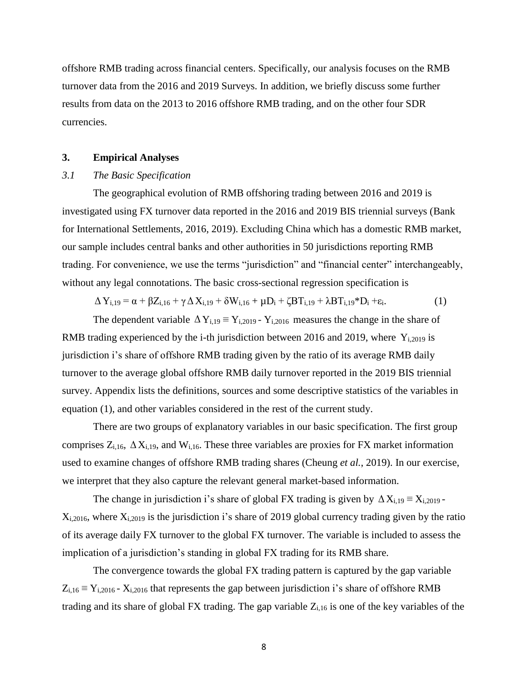offshore RMB trading across financial centers. Specifically, our analysis focuses on the RMB turnover data from the 2016 and 2019 Surveys. In addition, we briefly discuss some further results from data on the 2013 to 2016 offshore RMB trading, and on the other four SDR currencies.

#### **3. Empirical Analyses**

# *3.1 The Basic Specification*

The geographical evolution of RMB offshoring trading between 2016 and 2019 is investigated using FX turnover data reported in the 2016 and 2019 BIS triennial surveys (Bank for International Settlements, 2016, 2019). Excluding China which has a domestic RMB market, our sample includes central banks and other authorities in 50 jurisdictions reporting RMB trading. For convenience, we use the terms "jurisdiction" and "financial center" interchangeably, without any legal connotations. The basic cross-sectional regression specification is

$$
\Delta Y_{i,19} = \alpha + \beta Z_{i,16} + \gamma \Delta X_{i,19} + \delta W_{i,16} + \mu D_i + \zeta B T_{i,19} + \lambda B T_{i,19} * D_i + \varepsilon_i.
$$
 (1)

The dependent variable  $\Delta Y_{i,19} = Y_{i,2019} - Y_{i,2016}$  measures the change in the share of RMB trading experienced by the i-th jurisdiction between 2016 and 2019, where  $Y_{i,2019}$  is jurisdiction i's share of offshore RMB trading given by the ratio of its average RMB daily turnover to the average global offshore RMB daily turnover reported in the 2019 BIS triennial survey. Appendix lists the definitions, sources and some descriptive statistics of the variables in equation (1), and other variables considered in the rest of the current study.

There are two groups of explanatory variables in our basic specification. The first group comprises  $Z_{i,16}$ ,  $\Delta X_{i,19}$ , and  $W_{i,16}$ . These three variables are proxies for FX market information used to examine changes of offshore RMB trading shares (Cheung *et al.*, 2019). In our exercise, we interpret that they also capture the relevant general market-based information.

The change in jurisdiction i's share of global FX trading is given by  $\Delta X_{i,19} = X_{i,2019}$ .  $X_{i,2016}$ , where  $X_{i,2019}$  is the jurisdiction i's share of 2019 global currency trading given by the ratio of its average daily FX turnover to the global FX turnover. The variable is included to assess the implication of a jurisdiction's standing in global FX trading for its RMB share.

The convergence towards the global FX trading pattern is captured by the gap variable  $Z_{i,16} \equiv Y_{i,2016} - X_{i,2016}$  that represents the gap between jurisdiction i's share of offshore RMB trading and its share of global FX trading. The gap variable  $Z_{i,16}$  is one of the key variables of the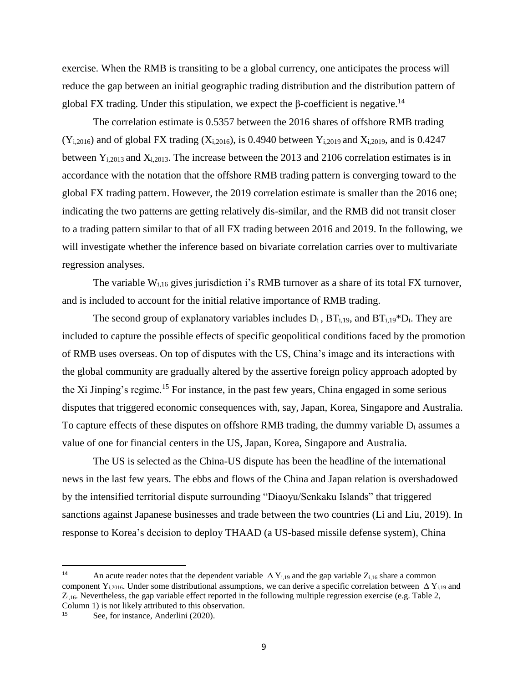exercise. When the RMB is transiting to be a global currency, one anticipates the process will reduce the gap between an initial geographic trading distribution and the distribution pattern of global FX trading. Under this stipulation, we expect the β-coefficient is negative.<sup>14</sup>

The correlation estimate is 0.5357 between the 2016 shares of offshore RMB trading  $(Y_{i,2016})$  and of global FX trading  $(X_{i,2016})$ , is 0.4940 between  $Y_{i,2019}$  and  $X_{i,2019}$ , and is 0.4247 between  $Y_{i,2013}$  and  $X_{i,2013}$ . The increase between the 2013 and 2106 correlation estimates is in accordance with the notation that the offshore RMB trading pattern is converging toward to the global FX trading pattern. However, the 2019 correlation estimate is smaller than the 2016 one; indicating the two patterns are getting relatively dis-similar, and the RMB did not transit closer to a trading pattern similar to that of all FX trading between 2016 and 2019. In the following, we will investigate whether the inference based on bivariate correlation carries over to multivariate regression analyses.

The variable  $W<sub>i,16</sub>$  gives jurisdiction i's RMB turnover as a share of its total FX turnover, and is included to account for the initial relative importance of RMB trading.

The second group of explanatory variables includes  $D_i$ ,  $BT_{i,19}$ , and  $BT_{i,19} * D_i$ . They are included to capture the possible effects of specific geopolitical conditions faced by the promotion of RMB uses overseas. On top of disputes with the US, China's image and its interactions with the global community are gradually altered by the assertive foreign policy approach adopted by the Xi Jinping's regime.<sup>15</sup> For instance, in the past few years, China engaged in some serious disputes that triggered economic consequences with, say, Japan, Korea, Singapore and Australia. To capture effects of these disputes on offshore RMB trading, the dummy variable  $D_i$  assumes a value of one for financial centers in the US, Japan, Korea, Singapore and Australia.

The US is selected as the China-US dispute has been the headline of the international news in the last few years. The ebbs and flows of the China and Japan relation is overshadowed by the intensified territorial dispute surrounding "Diaoyu/Senkaku Islands" that triggered sanctions against Japanese businesses and trade between the two countries (Li and Liu, 2019). In response to Korea's decision to deploy THAAD (a US-based missile defense system), China

 $\overline{\phantom{a}}$ 

<sup>&</sup>lt;sup>14</sup> An acute reader notes that the dependent variable  $\Delta Y_{i,19}$  and the gap variable  $Z_{i,16}$  share a common component Y<sub>i,2016</sub>. Under some distributional assumptions, we can derive a specific correlation between  $\Delta$  Y<sub>i,19</sub> and  $Z_{i,16}$ . Nevertheless, the gap variable effect reported in the following multiple regression exercise (e.g. Table 2, Column 1) is not likely attributed to this observation.

<sup>&</sup>lt;sup>15</sup> See, for instance, Anderlini (2020).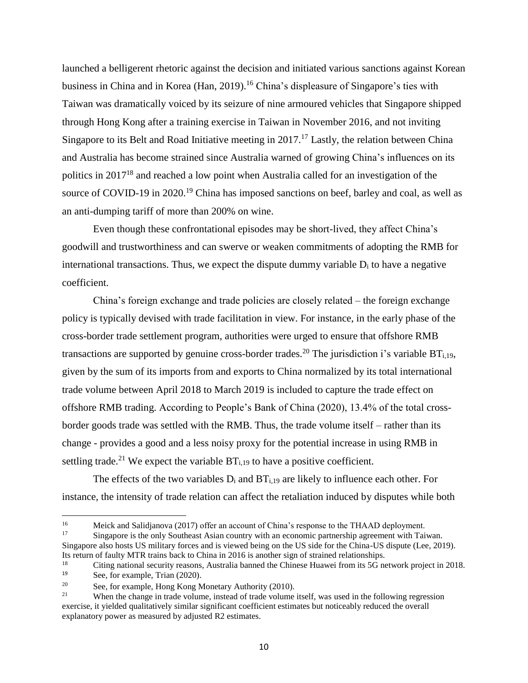launched a belligerent rhetoric against the decision and initiated various sanctions against Korean business in China and in Korea (Han, 2019). <sup>16</sup> China's displeasure of Singapore's ties with Taiwan was dramatically voiced by its seizure of nine armoured vehicles that Singapore shipped through Hong Kong after a training exercise in Taiwan in November 2016, and not inviting Singapore to its Belt and Road Initiative meeting in 2017.<sup>17</sup> Lastly, the relation between China and Australia has [become](https://dictionary.cambridge.org/dictionary/english/become) strained since Australia warned of growing China's influences on its politics in 2017<sup>18</sup> and reached a low point when Australia called for an investigation of the source of COVID-19 in 2020.<sup>19</sup> China has imposed sanctions on beef, barley and coal, as well as an anti-dumping tariff of more than 200% on wine.

Even though these confrontational episodes may be short-lived, they affect China's goodwill and trustworthiness and can swerve or weaken commitments of adopting the RMB for international transactions. Thus, we expect the dispute dummy variable  $D_i$  to have a negative coefficient.

China's foreign exchange and trade policies are closely related – the foreign exchange policy is typically devised with trade facilitation in view. For instance, in the early phase of the cross-border trade settlement program, authorities were urged to ensure that offshore RMB transactions are supported by genuine cross-border trades.<sup>20</sup> The jurisdiction i's variable  $BT<sub>i,19</sub>$ , given by the sum of its imports from and exports to China normalized by its total international trade volume between April 2018 to March 2019 is included to capture the trade effect on offshore RMB trading. According to People's Bank of China (2020), 13.4% of the total crossborder goods trade was settled with the RMB. Thus, the trade volume itself – rather than its change - provides a good and a less noisy proxy for the potential increase in using RMB in settling trade.<sup>21</sup> We expect the variable  $BT<sub>i,19</sub>$  to have a positive coefficient.

The effects of the two variables  $D_i$  and  $BT_{i,19}$  are likely to influence each other. For instance, the intensity of trade relation can affect the retaliation induced by disputes while both

Singapore is the only Southeast Asian country with an [economic partnership agreement with Taiwan.](https://www.mofa.gov.tw/en/News_Content.aspx?n=1E53CEEB4045643F&sms=C2D71E282D50644B&s=4255B85DA1615092) Singapore also hosts US military forces and is viewed being on the US side for the China-US dispute (Lee, 2019). Its return of faulty MTR trains back to China in 2016 is another sign of strained relationships.

 $\overline{\phantom{a}}$ 

<sup>&</sup>lt;sup>16</sup><br>
16 Meick and Salidjanova (2017) offer an account of China's response to the THAAD deployment.<br>
17 Singapora is the only Southeast Asian country with an accommis pertaership acrossment with Tai

<sup>&</sup>lt;sup>18</sup> Citing national security reasons, Australia banned the Chinese Huawei from its 5G network project in 2018.<br><sup>19</sup> See for example Trian (2020). See, for example, Trian (2020).

<sup>&</sup>lt;sup>20</sup> See, for example, Hong Kong Monetary Authority (2010).<br>When the change in trade volume instead of trade volume

When the change in trade volume, instead of trade volume itself, was used in the following regression exercise, it yielded qualitatively similar significant coefficient estimates but noticeably reduced the overall explanatory power as measured by adjusted R2 estimates.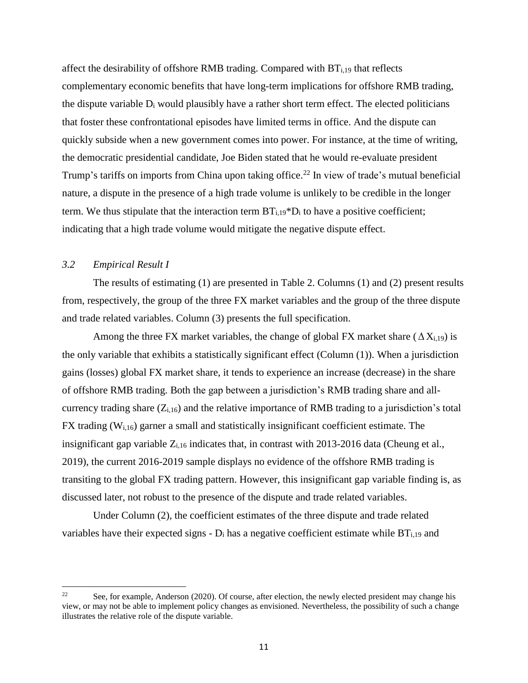affect the desirability of offshore RMB trading. Compared with BTi,19 that reflects complementary economic benefits that have long-term implications for offshore RMB trading, the dispute variable  $D_i$  would plausibly have a rather short term effect. The elected politicians that foster these confrontational episodes have limited terms in office. And the dispute can quickly subside when a new government comes into power. For instance, at the time of writing, the democratic presidential candidate, Joe Biden stated that he would re-evaluate president Trump's tariffs on imports from China upon taking office.<sup>22</sup> In view of trade's mutual beneficial nature, a dispute in the presence of a high trade volume is unlikely to be credible in the longer term. We thus stipulate that the interaction term  $BT_{i,19} * D_i$  to have a positive coefficient; indicating that a high trade volume would mitigate the negative dispute effect.

#### *3.2 Empirical Result I*

The results of estimating (1) are presented in Table 2. Columns (1) and (2) present results from, respectively, the group of the three FX market variables and the group of the three dispute and trade related variables. Column (3) presents the full specification.

Among the three FX market variables, the change of global FX market share ( $\Delta X_{i,19}$ ) is the only variable that exhibits a statistically significant effect (Column (1)). When a jurisdiction gains (losses) global FX market share, it tends to experience an increase (decrease) in the share of offshore RMB trading. Both the gap between a jurisdiction's RMB trading share and allcurrency trading share  $(Z_{i,16})$  and the relative importance of RMB trading to a jurisdiction's total FX trading (Wi,16) garner a small and statistically insignificant coefficient estimate. The insignificant gap variable  $Z_{i,16}$  indicates that, in contrast with 2013-2016 data (Cheung et al., 2019), the current 2016-2019 sample displays no evidence of the offshore RMB trading is transiting to the global FX trading pattern. However, this insignificant gap variable finding is, as discussed later, not robust to the presence of the dispute and trade related variables.

Under Column (2), the coefficient estimates of the three dispute and trade related variables have their expected signs  $- D_i$  has a negative coefficient estimate while  $BT_{i,19}$  and

 $22$ [See, for example, Anderson](https://www.forbes.com/sites/stuartanderson/) (2020). Of course, after election, the newly elected president may change his view, or may not be able to implement policy changes as envisioned. Nevertheless, the possibility of such a change illustrates the relative role of the dispute variable.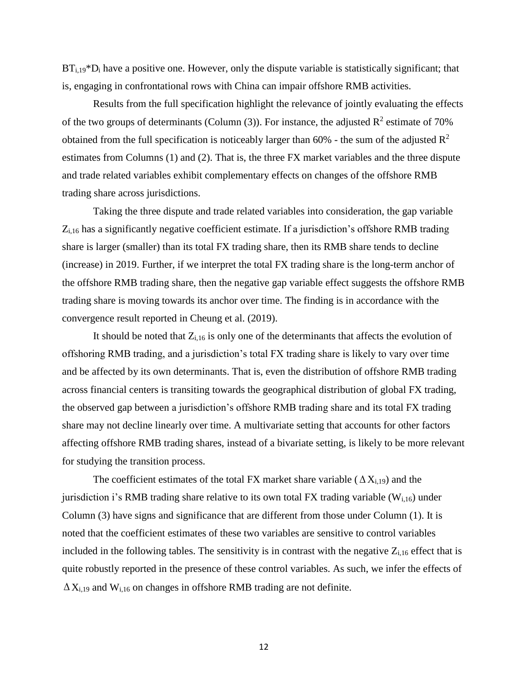$BT_{i,19}^*D_i$  have a positive one. However, only the dispute variable is statistically significant; that is, engaging in confrontational rows with China can impair offshore RMB activities.

Results from the full specification highlight the relevance of jointly evaluating the effects of the two groups of determinants (Column (3)). For instance, the adjusted  $\mathbb{R}^2$  estimate of 70% obtained from the full specification is noticeably larger than 60% - the sum of the adjusted  $\mathbb{R}^2$ estimates from Columns (1) and (2). That is, the three FX market variables and the three dispute and trade related variables exhibit complementary effects on changes of the offshore RMB trading share across jurisdictions.

Taking the three dispute and trade related variables into consideration, the gap variable Zi,16 has a significantly negative coefficient estimate. If a jurisdiction's offshore RMB trading share is larger (smaller) than its total FX trading share, then its RMB share tends to decline (increase) in 2019. Further, if we interpret the total FX trading share is the long-term anchor of the offshore RMB trading share, then the negative gap variable effect suggests the offshore RMB trading share is moving towards its anchor over time. The finding is in accordance with the convergence result reported in Cheung et al. (2019).

It should be noted that  $Z_{i,16}$  is only one of the determinants that affects the evolution of offshoring RMB trading, and a jurisdiction's total FX trading share is likely to vary over time and be affected by its own determinants. That is, even the distribution of offshore RMB trading across financial centers is transiting towards the geographical distribution of global FX trading, the observed gap between a jurisdiction's offshore RMB trading share and its total FX trading share may not decline linearly over time. A multivariate setting that accounts for other factors affecting offshore RMB trading shares, instead of a bivariate setting, is likely to be more relevant for studying the transition process.

The coefficient estimates of the total FX market share variable ( $\Delta X_{i,19}$ ) and the jurisdiction i's RMB trading share relative to its own total FX trading variable  $(W<sub>i,16</sub>)$  under Column (3) have signs and significance that are different from those under Column (1). It is noted that the coefficient estimates of these two variables are sensitive to control variables included in the following tables. The sensitivity is in contrast with the negative  $Z_{i,16}$  effect that is quite robustly reported in the presence of these control variables. As such, we infer the effects of  $\Delta X_{i,19}$  and  $W_{i,16}$  on changes in offshore RMB trading are not definite.

12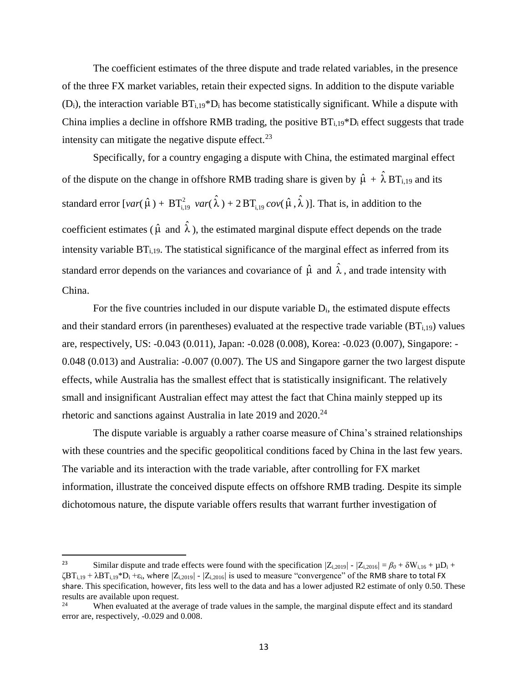The coefficient estimates of the three dispute and trade related variables, in the presence of the three FX market variables, retain their expected signs. In addition to the dispute variable  $(D_i)$ , the interaction variable  $BT_{i,19} * D_i$  has become statistically significant. While a dispute with China implies a decline in offshore RMB trading, the positive  $BT_{i,19}^*D_i$  effect suggests that trade intensity can mitigate the negative dispute effect.<sup>23</sup>

Specifically, for a country engaging a dispute with China, the estimated marginal effect of the dispute on the change in offshore RMB trading share is given by  $\hat{\mu} + \hat{\lambda} B T_{i,19}$  and its standard error  $[var(\hat{\mu}) + BT^2_{i,19} var(\hat{\lambda}) + 2 BT^2_{i,19} cov(\hat{\mu}, \hat{\lambda})]$ . That is, in addition to the coefficient estimates ( $\hat{\mu}$  and  $\hat{\lambda}$ ), the estimated marginal dispute effect depends on the trade intensity variable  $BT<sub>i,19</sub>$ . The statistical significance of the marginal effect as inferred from its standard error depends on the variances and covariance of  $\hat{\mu}$  and  $\hat{\lambda}$ , and trade intensity with China.

For the five countries included in our dispute variable Di, the estimated dispute effects and their standard errors (in parentheses) evaluated at the respective trade variable  $(BT_{i,19})$  values are, respectively, US: -0.043 (0.011), Japan: -0.028 (0.008), Korea: -0.023 (0.007), Singapore: - 0.048 (0.013) and Australia: -0.007 (0.007). The US and Singapore garner the two largest dispute effects, while Australia has the smallest effect that is statistically insignificant. The relatively small and insignificant Australian effect may attest the fact that China mainly stepped up its rhetoric and sanctions against Australia in late 2019 and 2020.<sup>24</sup>

The dispute variable is arguably a rather coarse measure of China's strained relationships with these countries and the specific geopolitical conditions faced by China in the last few years. The variable and its interaction with the trade variable, after controlling for FX market information, illustrate the conceived dispute effects on offshore RMB trading. Despite its simple dichotomous nature, the dispute variable offers results that warrant further investigation of

 $\overline{\phantom{a}}$ 

<sup>23</sup> Similar dispute and trade effects were found with the specification  $|Z_{i,2019}| - |Z_{i,2016}| = \beta_0 + \delta W_{i,16} + \mu D_i + \delta W_{i,17}$ ζBTi,19 + λBTi,19\*D<sup>i</sup> +εi, where *|*Zi,2019*| - |*Zi,2016*|* is used to measure "convergence" of the RMB share to total FX share. This specification, however, fits less well to the data and has a lower adjusted R2 estimate of only 0.50. These results are available upon request.<br><sup>24</sup> When systems at the system

When evaluated at the average of trade values in the sample, the marginal dispute effect and its standard error are, respectively, -0.029 and 0.008.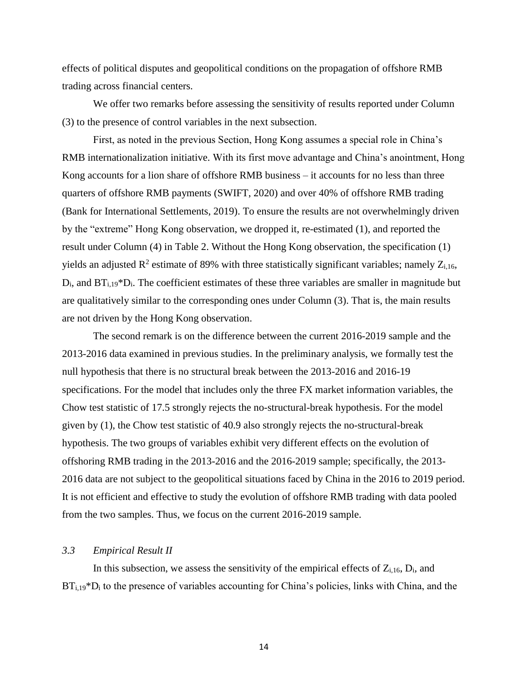effects of political disputes and geopolitical conditions on the propagation of offshore RMB trading across financial centers.

We offer two remarks before assessing the sensitivity of results reported under Column (3) to the presence of control variables in the next subsection.

First, as noted in the previous Section, Hong Kong assumes a special role in China's RMB internationalization initiative. With its first move advantage and China's anointment, Hong Kong accounts for a lion share of offshore RMB business – it accounts for no less than three quarters of offshore RMB payments (SWIFT, 2020) and over 40% of offshore RMB trading (Bank for International Settlements, 2019). To ensure the results are not overwhelmingly driven by the "extreme" Hong Kong observation, we dropped it, re-estimated (1), and reported the result under Column (4) in Table 2. Without the Hong Kong observation, the specification (1) yields an adjusted  $R^2$  estimate of 89% with three statistically significant variables; namely  $Z_{i,16}$ ,  $D_i$ , and  $BT_{i,19}^*D_i$ . The coefficient estimates of these three variables are smaller in magnitude but are qualitatively similar to the corresponding ones under Column (3). That is, the main results are not driven by the Hong Kong observation.

The second remark is on the difference between the current 2016-2019 sample and the 2013-2016 data examined in previous studies. In the preliminary analysis, we formally test the null hypothesis that there is no structural break between the 2013-2016 and 2016-19 specifications. For the model that includes only the three FX market information variables, the Chow test statistic of 17.5 strongly rejects the no-structural-break hypothesis. For the model given by (1), the Chow test statistic of 40.9 also strongly rejects the no-structural-break hypothesis. The two groups of variables exhibit very different effects on the evolution of offshoring RMB trading in the 2013-2016 and the 2016-2019 sample; specifically, the 2013- 2016 data are not subject to the geopolitical situations faced by China in the 2016 to 2019 period. It is not efficient and effective to study the evolution of offshore RMB trading with data pooled from the two samples. Thus, we focus on the current 2016-2019 sample.

### *3.3 Empirical Result II*

In this subsection, we assess the sensitivity of the empirical effects of  $Z_{i,16}$ ,  $D_i$ , and  $BT<sub>i,19</sub>*D<sub>i</sub>$  to the presence of variables accounting for China's policies, links with China, and the

14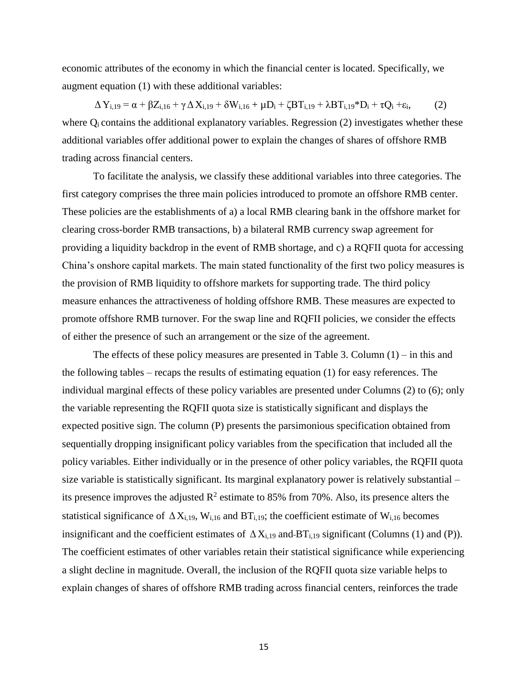economic attributes of the economy in which the financial center is located. Specifically, we augment equation (1) with these additional variables:

 $\Delta Y_{i,19} = \alpha + \beta Z_{i,16} + \gamma \Delta X_{i,19} + \delta W_{i,16} + \mu D_i + \zeta B T_{i,19} + \lambda B T_{i,19} * D_i + \tau Q_i + \varepsilon_i,$  (2) where  $Q_i$  contains the additional explanatory variables. Regression  $(2)$  investigates whether these additional variables offer additional power to explain the changes of shares of offshore RMB trading across financial centers.

To facilitate the analysis, we classify these additional variables into three categories. The first category comprises the three main policies introduced to promote an offshore RMB center. These policies are the establishments of a) a local RMB clearing bank in the offshore market for clearing cross-border RMB transactions, b) a bilateral RMB currency swap agreement for providing a liquidity backdrop in the event of RMB shortage, and c) a RQFII quota for accessing China's onshore capital markets. The main stated functionality of the first two policy measures is the provision of RMB liquidity to offshore markets for supporting trade. The third policy measure enhances the attractiveness of holding offshore RMB. These measures are expected to promote offshore RMB turnover. For the swap line and RQFII policies, we consider the effects of either the presence of such an arrangement or the size of the agreement.

The effects of these policy measures are presented in Table 3. Column  $(1)$  – in this and the following tables – recaps the results of estimating equation (1) for easy references. The individual marginal effects of these policy variables are presented under Columns (2) to (6); only the variable representing the RQFII quota size is statistically significant and displays the expected positive sign. The column (P) presents the parsimonious specification obtained from sequentially dropping insignificant policy variables from the specification that included all the policy variables. Either individually or in the presence of other policy variables, the RQFII quota size variable is statistically significant. Its marginal explanatory power is relatively substantial – its presence improves the adjusted  $\mathbb{R}^2$  estimate to 85% from 70%. Also, its presence alters the statistical significance of  $\Delta X_{i,19}$ , W<sub>i,16</sub> and BT<sub>i,19</sub>; the coefficient estimate of W<sub>i,16</sub> becomes insignificant and the coefficient estimates of  $\Delta X_{i,19}$  and BT<sub>i,19</sub> significant (Columns (1) and (P)). The coefficient estimates of other variables retain their statistical significance while experiencing a slight decline in magnitude. Overall, the inclusion of the RQFII quota size variable helps to explain changes of shares of offshore RMB trading across financial centers, reinforces the trade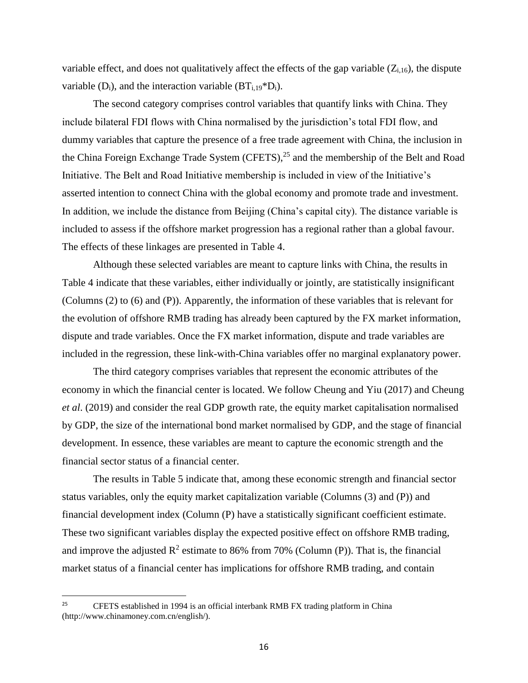variable effect, and does not qualitatively affect the effects of the gap variable  $(Z_{i,16})$ , the dispute variable  $(D_i)$ , and the interaction variable  $(BT_{i,19} * D_i)$ .

The second category comprises control variables that quantify links with China. They include bilateral FDI flows with China normalised by the jurisdiction's total FDI flow, and dummy variables that capture the presence of a free trade agreement with China, the inclusion in the China Foreign Exchange Trade System (CFETS),<sup>25</sup> and the membership of the Belt and Road Initiative. The Belt and Road Initiative membership is included in view of the Initiative's asserted intention to connect China with the global economy and promote trade and investment. In addition, we include the distance from Beijing (China's capital city). The distance variable is included to assess if the offshore market progression has a regional rather than a global favour. The effects of these linkages are presented in Table 4.

Although these selected variables are meant to capture links with China, the results in Table 4 indicate that these variables, either individually or jointly, are statistically insignificant (Columns (2) to (6) and (P)). Apparently, the information of these variables that is relevant for the evolution of offshore RMB trading has already been captured by the FX market information, dispute and trade variables. Once the FX market information, dispute and trade variables are included in the regression, these link-with-China variables offer no marginal explanatory power.

The third category comprises variables that represent the economic attributes of the economy in which the financial center is located. We follow Cheung and Yiu (2017) and Cheung *et al*. (2019) and consider the real GDP growth rate, the equity market capitalisation normalised by GDP, the size of the international bond market normalised by GDP, and the stage of financial development. In essence, these variables are meant to capture the economic strength and the financial sector status of a financial center.

The results in Table 5 indicate that, among these economic strength and financial sector status variables, only the equity market capitalization variable (Columns (3) and (P)) and financial development index (Column (P) have a statistically significant coefficient estimate. These two significant variables display the expected positive effect on offshore RMB trading, and improve the adjusted  $\mathbb{R}^2$  estimate to 86% from 70% (Column (P)). That is, the financial market status of a financial center has implications for offshore RMB trading, and contain

l

<sup>&</sup>lt;sup>25</sup> CFETS established in 1994 is an official interbank RMB FX trading platform in China (http://www.chinamoney.com.cn/english/).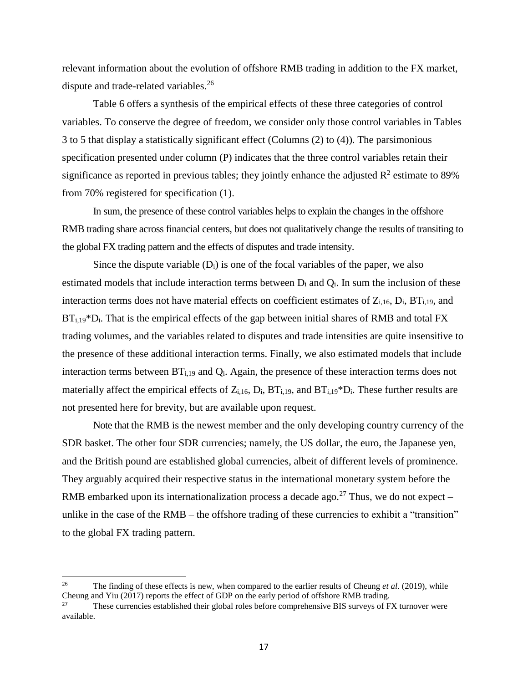relevant information about the evolution of offshore RMB trading in addition to the FX market, dispute and trade-related variables.<sup>26</sup>

Table 6 offers a synthesis of the empirical effects of these three categories of control variables. To conserve the degree of freedom, we consider only those control variables in Tables 3 to 5 that display a statistically significant effect (Columns (2) to (4)). The parsimonious specification presented under column (P) indicates that the three control variables retain their significance as reported in previous tables; they jointly enhance the adjusted  $\mathbb{R}^2$  estimate to 89% from 70% registered for specification (1).

In sum, the presence of these control variables helps to explain the changes in the offshore RMB trading share across financial centers, but does not qualitatively change the results of transiting to the global FX trading pattern and the effects of disputes and trade intensity.

Since the dispute variable  $(D_i)$  is one of the focal variables of the paper, we also estimated models that include interaction terms between  $D_i$  and  $Q_i$ . In sum the inclusion of these interaction terms does not have material effects on coefficient estimates of  $Z_{i,16}$ ,  $D_i$ ,  $BT_{i,19}$ , and  $BT<sub>i,19</sub>*D<sub>i</sub>$ . That is the empirical effects of the gap between initial shares of RMB and total FX trading volumes, and the variables related to disputes and trade intensities are quite insensitive to the presence of these additional interaction terms. Finally, we also estimated models that include interaction terms between  $BT<sub>i,19</sub>$  and  $Q<sub>i</sub>$ . Again, the presence of these interaction terms does not materially affect the empirical effects of  $Z_{i,16}$ ,  $D_i$ ,  $BT_{i,19}$ , and  $BT_{i,19}$ <sup>\*</sup> $D_i$ . These further results are not presented here for brevity, but are available upon request.

Note that the RMB is the newest member and the only developing country currency of the SDR basket. The other four SDR currencies; namely, the US dollar, the euro, the Japanese yen, and the British pound are established global currencies, albeit of different levels of prominence. They arguably acquired their respective status in the international monetary system before the RMB embarked upon its internationalization process a decade ago.<sup>27</sup> Thus, we do not expect – unlike in the case of the RMB – the offshore trading of these currencies to exhibit a "transition" to the global FX trading pattern.

 $\overline{a}$ 

<sup>&</sup>lt;sup>26</sup> The finding of these effects is new, when compared to the earlier results of Cheung *et al.* (2019), while Cheung and Yiu (2017) reports the effect of GDP on the early period of offshore RMB trading.

<sup>&</sup>lt;sup>27</sup> These currencies established their global roles before comprehensive BIS surveys of FX turnover were available.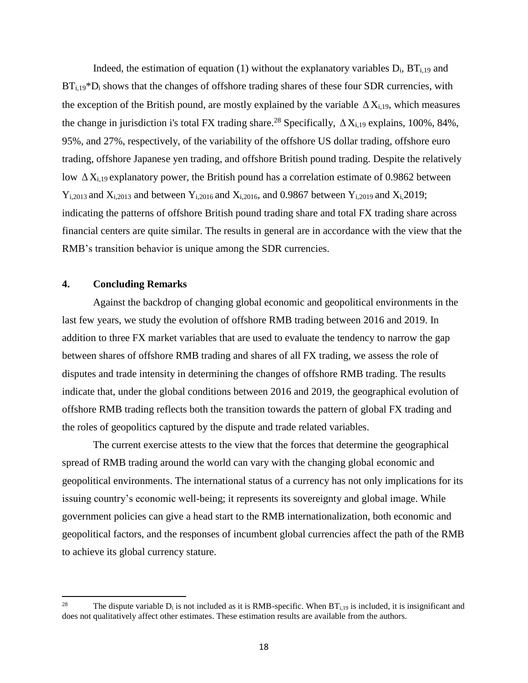Indeed, the estimation of equation (1) without the explanatory variables  $D_i$ ,  $BT_{i,19}$  and BT<sub>i,19</sub>\*D<sub>i</sub> shows that the changes of offshore trading shares of these four SDR currencies, with the exception of the British pound, are mostly explained by the variable  $\Delta X_{i,19}$ , which measures the change in jurisdiction i's total FX trading share.<sup>28</sup> Specifically,  $\Delta X_{i,19}$  explains, 100%, 84%, 95%, and 27%, respectively, of the variability of the offshore US dollar trading, offshore euro trading, offshore Japanese yen trading, and offshore British pound trading. Despite the relatively low  $\Delta X_{i,19}$  explanatory power, the British pound has a correlation estimate of 0.9862 between  $Y_{i,2013}$  and  $X_{i,2013}$  and between  $Y_{i,2016}$  and  $X_{i,2016}$ , and 0.9867 between  $Y_{i,2019}$  and  $X_{i,2019}$ ; indicating the patterns of offshore British pound trading share and total FX trading share across financial centers are quite similar. The results in general are in accordance with the view that the RMB's transition behavior is unique among the SDR currencies.

## **4. Concluding Remarks**

Against the backdrop of changing global economic and geopolitical environments in the last few years, we study the evolution of offshore RMB trading between 2016 and 2019. In addition to three FX market variables that are used to evaluate the tendency to narrow the gap between shares of offshore RMB trading and shares of all FX trading, we assess the role of disputes and trade intensity in determining the changes of offshore RMB trading. The results indicate that, under the global conditions between 2016 and 2019, the geographical evolution of offshore RMB trading reflects both the transition towards the pattern of global FX trading and the roles of geopolitics captured by the dispute and trade related variables.

The current exercise attests to the view that the forces that determine the geographical spread of RMB trading around the world can vary with the changing global economic and geopolitical environments. The international status of a currency has not only implications for its issuing country's economic well-being; it represents its sovereignty and global image. While government policies can give a head start to the RMB internationalization, both economic and geopolitical factors, and the responses of incumbent global currencies affect the path of the RMB to achieve its global currency stature.

<sup>28</sup> The dispute variable  $D_i$  is not included as it is RMB-specific. When  $BT_{i,19}$  is included, it is insignificant and does not qualitatively affect other estimates. These estimation results are available from the authors.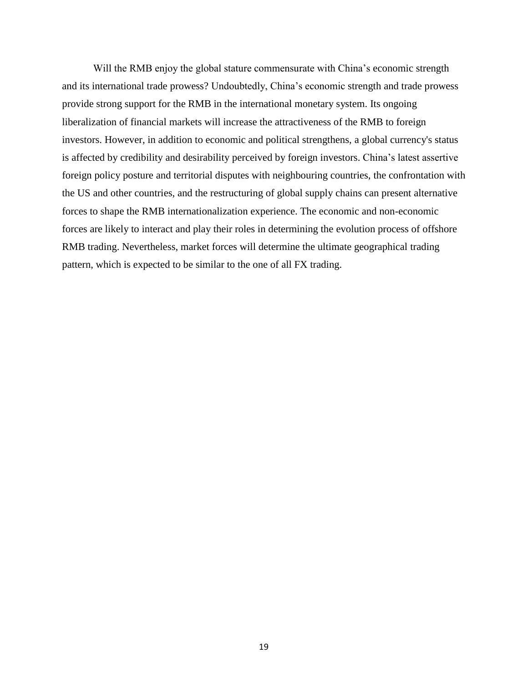Will the RMB enjoy the global stature commensurate with China's economic strength and its international trade prowess? Undoubtedly, China's economic strength and trade prowess provide strong support for the RMB in the international monetary system. Its ongoing liberalization of financial markets will increase the attractiveness of the RMB to foreign investors. However, in addition to economic and political strengthens, a global currency's status is affected by credibility and desirability perceived by foreign investors. China's latest assertive foreign policy posture and territorial disputes with neighbouring countries, the confrontation with the US and other countries, and the restructuring of global supply chains can present alternative forces to shape the RMB internationalization experience. The economic and non-economic forces are likely to interact and play their roles in determining the evolution process of offshore RMB trading. Nevertheless, market forces will determine the ultimate geographical trading pattern, which is expected to be similar to the one of all FX trading.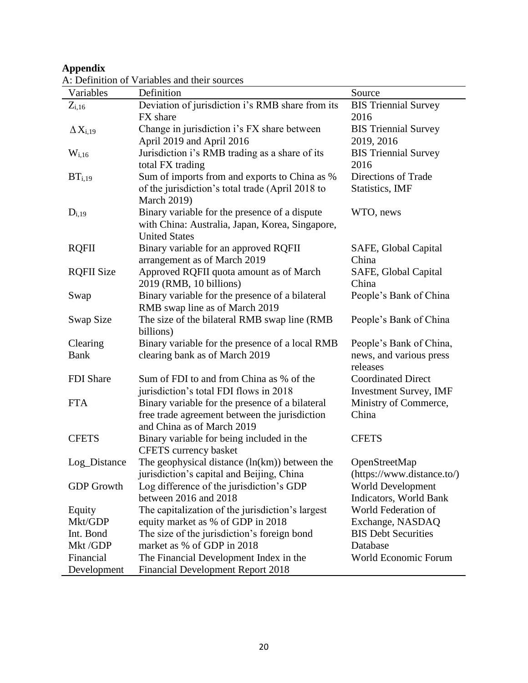## **Appendix**

|                    | r. Definition of variables and their sources     |                               |
|--------------------|--------------------------------------------------|-------------------------------|
| Variables          | Definition                                       | Source                        |
| $Z_{i,16}$         | Deviation of jurisdiction i's RMB share from its | <b>BIS Triennial Survey</b>   |
|                    | FX share                                         | 2016                          |
| $\Delta X_{i,19}$  | Change in jurisdiction i's FX share between      | <b>BIS Triennial Survey</b>   |
|                    | April 2019 and April 2016                        | 2019, 2016                    |
| $W_{i,16}$         | Jurisdiction i's RMB trading as a share of its   | <b>BIS Triennial Survey</b>   |
|                    | total FX trading                                 | 2016                          |
| BT <sub>i,19</sub> | Sum of imports from and exports to China as %    | Directions of Trade           |
|                    | of the jurisdiction's total trade (April 2018 to | <b>Statistics</b> , IMF       |
|                    | <b>March 2019)</b>                               |                               |
| $D_{i,19}$         | Binary variable for the presence of a dispute    | WTO, news                     |
|                    | with China: Australia, Japan, Korea, Singapore,  |                               |
|                    | <b>United States</b>                             |                               |
| <b>RQFII</b>       | Binary variable for an approved RQFII            | SAFE, Global Capital          |
|                    | arrangement as of March 2019                     | China                         |
| <b>RQFII Size</b>  | Approved RQFII quota amount as of March          | SAFE, Global Capital          |
|                    | 2019 (RMB, 10 billions)                          | China                         |
| Swap               | Binary variable for the presence of a bilateral  | People's Bank of China        |
|                    | RMB swap line as of March 2019                   |                               |
| Swap Size          | The size of the bilateral RMB swap line (RMB     | People's Bank of China        |
|                    | billions)                                        |                               |
| Clearing           | Binary variable for the presence of a local RMB  | People's Bank of China,       |
| <b>Bank</b>        | clearing bank as of March 2019                   | news, and various press       |
|                    |                                                  | releases                      |
| FDI Share          | Sum of FDI to and from China as % of the         | <b>Coordinated Direct</b>     |
|                    | jurisdiction's total FDI flows in 2018           | <b>Investment Survey, IMF</b> |
| <b>FTA</b>         | Binary variable for the presence of a bilateral  | Ministry of Commerce,         |
|                    | free trade agreement between the jurisdiction    | China                         |
|                    | and China as of March 2019                       |                               |
| <b>CFETS</b>       | Binary variable for being included in the        | <b>CFETS</b>                  |
|                    | CFETS currency basket                            |                               |
| Log_Distance       | The geophysical distance $(ln(km))$ between the  | OpenStreetMap                 |
|                    | jurisdiction's capital and Beijing, China        | (https://www.distance.to/)    |
| <b>GDP</b> Growth  | Log difference of the jurisdiction's GDP         | <b>World Development</b>      |
|                    | between 2016 and 2018                            | Indicators, World Bank        |
|                    |                                                  | World Federation of           |
| Equity             | The capitalization of the jurisdiction's largest |                               |
| Mkt/GDP            | equity market as % of GDP in 2018                | Exchange, NASDAQ              |
| Int. Bond          | The size of the jurisdiction's foreign bond      | <b>BIS Debt Securities</b>    |
| Mkt/GDP            | market as % of GDP in 2018                       | Database                      |
| Financial          | The Financial Development Index in the           | World Economic Forum          |
| Development        | <b>Financial Development Report 2018</b>         |                               |

A: Definition of Variables and their sources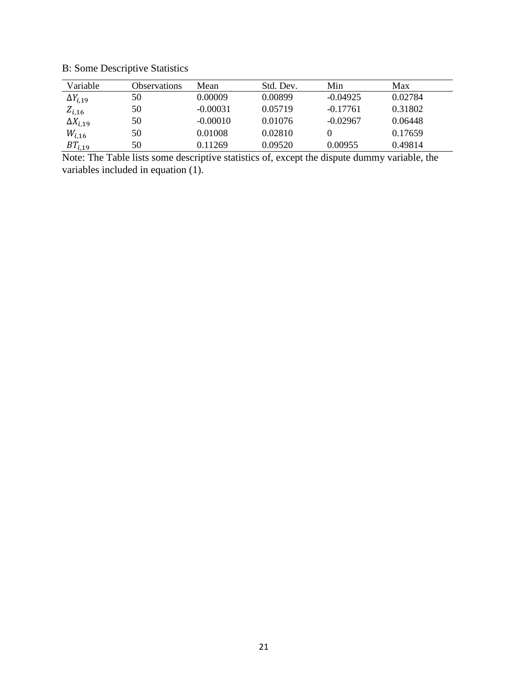B: Some Descriptive Statistics

| Variable          | <b>Observations</b> | Mean       | Std. Dev. | Min        | Max     |
|-------------------|---------------------|------------|-----------|------------|---------|
| $\Delta Y_{i,19}$ | 50                  | 0.00009    | 0.00899   | $-0.04925$ | 0.02784 |
| $Z_{i,16}$        | 50                  | $-0.00031$ | 0.05719   | $-0.17761$ | 0.31802 |
| $\Delta X_{i,19}$ | 50                  | $-0.00010$ | 0.01076   | $-0.02967$ | 0.06448 |
| $W_{i,16}$        | 50                  | 0.01008    | 0.02810   |            | 0.17659 |
| $BT_{i,19}$       | 50                  | 0.11269    | 0.09520   | 0.00955    | 0.49814 |

Note: The Table lists some descriptive statistics of, except the dispute dummy variable, the variables included in equation (1).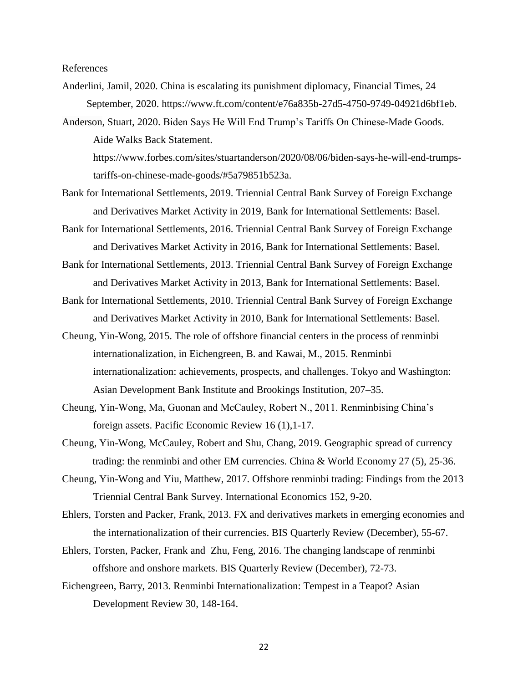References

- Anderlini, Jamil, 2020. China is escalating its punishment diplomacy, Financial Times, 24 September, 2020. https://www.ft.com/content/e76a835b-27d5-4750-9749-04921d6bf1eb.
- [Anderson,](https://www.forbes.com/sites/stuartanderson/) Stuart, 2020. Biden Says He Will End Trump's Tariffs On Chinese-Made Goods. Aide Walks Back Statement. https://www.forbes.com/sites/stuartanderson/2020/08/06/biden-says-he-will-end-trumps-

tariffs-on-chinese-made-goods/#5a79851b523a.

- Bank for International Settlements, 2019. Triennial Central Bank Survey of Foreign Exchange and Derivatives Market Activity in 2019, Bank for International Settlements: Basel.
- Bank for International Settlements, 2016. Triennial Central Bank Survey of Foreign Exchange and Derivatives Market Activity in 2016, Bank for International Settlements: Basel.
- Bank for International Settlements, 2013. Triennial Central Bank Survey of Foreign Exchange and Derivatives Market Activity in 2013, Bank for International Settlements: Basel.
- Bank for International Settlements, 2010. Triennial Central Bank Survey of Foreign Exchange and Derivatives Market Activity in 2010, Bank for International Settlements: Basel.
- Cheung, Yin-Wong, 2015. The role of offshore financial centers in the process of renminbi internationalization, in Eichengreen, B. and Kawai, M., 2015. Renminbi internationalization: achievements, prospects, and challenges. Tokyo and Washington: Asian Development Bank Institute and Brookings Institution, 207*–*35.
- Cheung, Yin-Wong, Ma, Guonan and McCauley, Robert N., 2011. Renminbising China's foreign assets. Pacific Economic Review 16 (1),1-17.
- Cheung, Yin-Wong, McCauley, Robert and Shu, Chang, 2019. Geographic spread of currency trading: the renminbi and other EM currencies. China & World Economy 27 (5), 25-36.
- Cheung, Yin-Wong and Yiu, Matthew, 2017. Offshore renminbi trading: Findings from the 2013 Triennial Central Bank Survey. International Economics 152, 9-20.
- Ehlers, Torsten and Packer, Frank, 2013. FX and derivatives markets in emerging economies and the internationalization of their currencies. BIS Quarterly Review (December), 55-67.
- [Ehlers,](https://www.bis.org/author/torsten_ehlers.htm) Torsten, [Packer,](https://www.bis.org/author/frank_packer.htm) Frank and [Zhu,](https://www.bis.org/author/feng_zhu.htm) Feng, 2016. The changing landscape of renminbi offshore and onshore markets. BIS Quarterly Review (December), 72-73.
- Eichengreen, Barry, 2013. Renminbi Internationalization: Tempest in a Teapot? Asian Development Review 30, 148-164.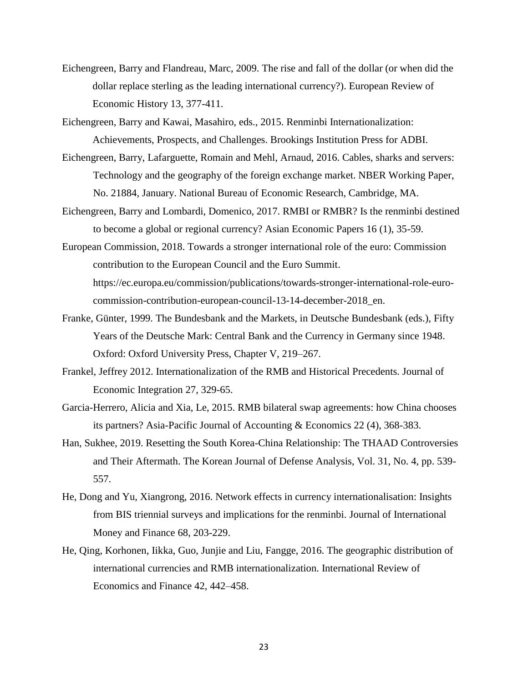Eichengreen, Barry and Flandreau, Marc, 2009. The rise and fall of the dollar (or when did the dollar replace sterling as the leading international currency?). European Review of Economic History 13, 377-411.

Eichengreen, Barry and Kawai, Masahiro, eds., 2015. Renminbi Internationalization: Achievements, Prospects, and Challenges. Brookings Institution Press for ADBI.

- Eichengreen, Barry, Lafarguette, Romain and Mehl, Arnaud, 2016. Cables, sharks and servers: Technology and the geography of the foreign exchange market. NBER Working Paper, No. 21884, January. National Bureau of Economic Research, Cambridge, MA.
- Eichengreen, Barry and Lombardi, Domenico, 2017. RMBI or RMBR? Is the renminbi destined to become a global or regional currency? Asian Economic Papers 16 (1), 35-59.
- European Commission, 2018. Towards a stronger international role of the euro: Commission contribution to the European Council and the Euro Summit. [https://ec.europa.eu/commission/publications/t](https://ec.europa.eu/commission/publications/)owards-stronger-international-role-eurocommission-contribution-european-council-13-14-december-2018\_en.
- Franke, Günter, 1999. The Bundesbank and the Markets, in Deutsche Bundesbank (eds.), Fifty Years of the Deutsche Mark: Central Bank and the Currency in Germany since 1948. Oxford: Oxford University Press, Chapter V, 219–267.
- Frankel, Jeffrey 2012. Internationalization of the RMB and Historical Precedents. Journal of Economic Integration 27, 329-65.
- Garcia-Herrero, Alicia and Xia, Le, 2015. RMB bilateral swap agreements: how China chooses its partners? Asia-Pacific Journal of Accounting & Economics 22 (4), 368-383.
- Han, Sukhee, 2019. Resetting the South Korea-China Relationship: The THAAD Controversies and Their Aftermath. The Korean Journal of Defense Analysis, Vol. 31, No. 4, pp. 539- 557.
- He, Dong and Yu, Xiangrong, 2016. Network effects in currency internationalisation: Insights from BIS triennial surveys and implications for the renminbi. [Journal of International](https://www.sciencedirect.com/science/journal/02615606)  [Money and Finance](https://www.sciencedirect.com/science/journal/02615606) 68, 203-229.
- He, Qing, Korhonen, Iikka, Guo, Junjie and Liu, Fangge, 2016. The geographic distribution of international currencies and RMB internationalization. International Review of Economics and Finance 42, 442–458.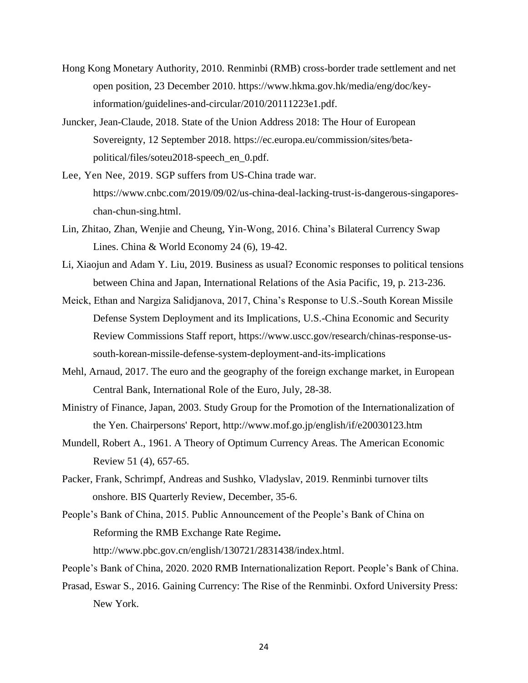- Hong Kong Monetary Authority, 2010. Renminbi (RMB) cross-border trade settlement and net open position, 23 December 2010. https://www.hkma.gov.hk/media/eng/doc/keyinformation/guidelines-and-circular/2010/20111223e1.pdf.
- Juncker, Jean-Claude, 2018. State of the Union Address 2018: The Hour of European Sovereignty, 12 September 2018. [https://ec.europa.eu/c](https://ec.europa.eu/)ommission/sites/betapolitical/files/soteu2018-speech\_en\_0.pdf.
- Lee, Yen Nee, 2019. SGP suffers from US-China trade war. [https://www.cnbc.com/2019/09/02/us-china-deal-lacking-trust-is-dangerous-singapores](https://www.cnbc.com/2019/09/02/us-china-deal-lacking-trust-is-dangerous-singapores-chan-chun-sing.html)[chan-chun-sing.html.](https://www.cnbc.com/2019/09/02/us-china-deal-lacking-trust-is-dangerous-singapores-chan-chun-sing.html)
- Lin, Zhitao, Zhan, Wenjie and Cheung, Yin-Wong, 2016. China's Bilateral Currency Swap Lines. China & World Economy 24 (6), 19-42.
- Li, Xiaojun and Adam Y. Liu, 2019. Business as usual? Economic responses to political tensions between China and Japan, International Relations of the Asia Pacific, 19, p. 213-236.
- Meick, Ethan and Nargiza Salidjanova, 2017, China's Response to U.S.-South Korean Missile Defense System Deployment and its Implications, U.S.-China Economic and Security Review Commissions Staff report, [https://www.uscc.gov/research/chinas-response-us](https://www.uscc.gov/research/chinas-response-us-south-korean-missile-defense-system-deployment-and-its-implications)[south-korean-missile-defense-system-deployment-and-its-implications](https://www.uscc.gov/research/chinas-response-us-south-korean-missile-defense-system-deployment-and-its-implications)
- Mehl, Arnaud, 2017. The euro and the geography of the foreign exchange market, in European Central Bank, International Role of the Euro, July, 28-38.
- Ministry of Finance, Japan, 2003. Study Group for the Promotion of the Internationalization of the Yen. Chairpersons' Report, http://www.mof.go.jp/english/if/e20030123.htm
- Mundell, Robert A., 1961. A Theory of Optimum Currency Areas. The American Economic Review 51 (4), 657-65.
- Packer, Frank, Schrimpf, Andreas and Sushko, Vladyslav, 2019. Renminbi turnover tilts onshore. BIS Quarterly Review, December, 35-6.
- People's Bank of China, 2015. Public Announcement of the People's Bank of China on Reforming the RMB Exchange Rate Regime**.**  [http://www.pbc.gov.cn/english/130721/2831438/index.html.](http://www.pbc.gov.cn/english/130721/2831438/index.html)
- People's Bank of China, 2020. 2020 RMB Internationalization Report. People's Bank of China.
- Prasad, Eswar S., 2016. Gaining Currency: The Rise of the Renminbi. Oxford University Press: New York.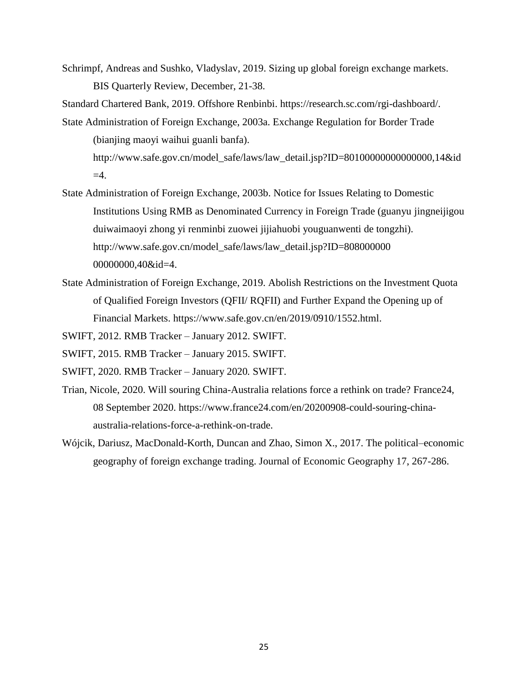Schrimpf, Andreas and Sushko, Vladyslav, 2019. Sizing up global foreign exchange markets. BIS Quarterly Review, December, 21-38.

Standard Chartered Bank, 2019. Offshore Renbinbi. [https://research.sc.com/rgi-dashboard/.](https://research.sc.com/rgi-dashboard/)

State Administration of Foreign Exchange, 2003a. Exchange Regulation for Border Trade (bianjing maoyi waihui guanli banfa).

http://www.safe.gov.cn/model\_safe/laws/law\_detail.jsp?ID=80100000000000000,14&id  $=4$ .

- State Administration of Foreign Exchange, 2003b. Notice for Issues Relating to Domestic Institutions Using RMB as Denominated Currency in Foreign Trade (guanyu jingneijigou duiwaimaoyi zhong yi renminbi zuowei jijiahuobi youguanwenti de tongzhi). http://www.safe.gov.cn/model\_safe/laws/law\_detail.jsp?ID=808000000 00000000,40&id=4.
- State Administration of Foreign Exchange, 2019. Abolish Restrictions on the Investment Quota of Qualified Foreign Investors (QFII/ RQFII) and Further Expand the Opening up of Financial Markets. [https://www.safe.gov.cn/en/2019/0910/1552.html.](https://www.safe.gov.cn/en/2019/0910/1552.html)

SWIFT, 2012. RMB Tracker – January 2012. SWIFT.

- SWIFT, 2015. RMB Tracker January 2015. SWIFT*.*
- SWIFT, 2020. RMB Tracker January 2020*.* SWIFT.
- Trian, Nicole, 2020. Will souring China-Australia relations force a rethink on trade? France24, 08 September 2020. [https://www.france24.com/en/20200908-could-souring-china](https://www.france24.com/en/20200908-could-souring-china-australia-relations-force-a-rethink-on-trade)[australia-relations-force-a-rethink-on-trade.](https://www.france24.com/en/20200908-could-souring-china-australia-relations-force-a-rethink-on-trade)
- [Wójcik,](javascript:;) Dariusz, MacDonald-Korth, Duncan and Zhao, Simon X., 2017. The political–economic geography of foreign exchange trading. Journal of Economic Geography 17, 267-286.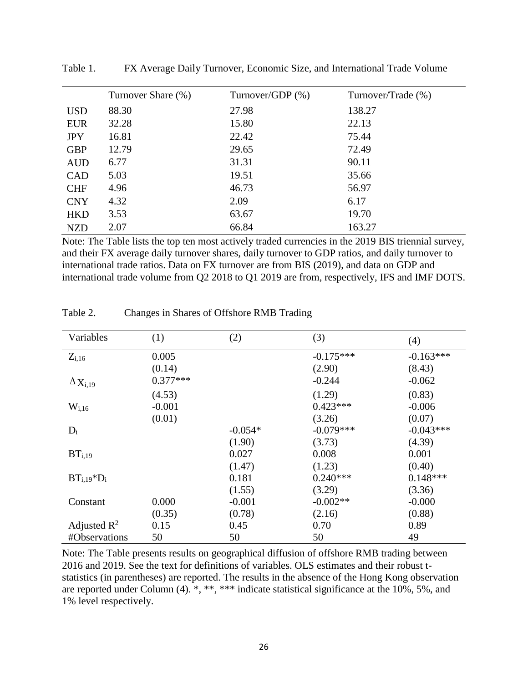|            | Turnover Share (%) | Turnover/GDP $(\%)$ | Turnover/Trade (%) |
|------------|--------------------|---------------------|--------------------|
| <b>USD</b> | 88.30              | 27.98               | 138.27             |
| <b>EUR</b> | 32.28              | 15.80               | 22.13              |
| <b>JPY</b> | 16.81              | 22.42               | 75.44              |
| <b>GBP</b> | 12.79              | 29.65               | 72.49              |
| <b>AUD</b> | 6.77               | 31.31               | 90.11              |
| <b>CAD</b> | 5.03               | 19.51               | 35.66              |
| <b>CHF</b> | 4.96               | 46.73               | 56.97              |
| <b>CNY</b> | 4.32               | 2.09                | 6.17               |
| <b>HKD</b> | 3.53               | 63.67               | 19.70              |
| <b>NZD</b> | 2.07               | 66.84               | 163.27             |

Table 1. FX Average Daily Turnover, Economic Size, and International Trade Volume

Note: The Table lists the top ten most actively traded currencies in the 2019 BIS triennial survey, and their FX average daily turnover shares, daily turnover to GDP ratios, and daily turnover to international trade ratios. Data on FX turnover are from BIS (2019), and data on GDP and international trade volume from Q2 2018 to Q1 2019 are from, respectively, IFS and IMF DOTS.

| Variables                  | (1)        | (2)       | (3)         | (4)         |
|----------------------------|------------|-----------|-------------|-------------|
| $Z_{i,16}$                 | 0.005      |           | $-0.175***$ | $-0.163***$ |
|                            | (0.14)     |           | (2.90)      | (8.43)      |
| $\Delta$ X <sub>i,19</sub> | $0.377***$ |           | $-0.244$    | $-0.062$    |
|                            | (4.53)     |           | (1.29)      | (0.83)      |
| $W_{i,16}$                 | $-0.001$   |           | $0.423***$  | $-0.006$    |
|                            | (0.01)     |           | (3.26)      | (0.07)      |
| $D_i$                      |            | $-0.054*$ | $-0.079***$ | $-0.043***$ |
|                            |            | (1.90)    | (3.73)      | (4.39)      |
| BT <sub>i,19</sub>         |            | 0.027     | 0.008       | 0.001       |
|                            |            | (1.47)    | (1.23)      | (0.40)      |
| $BTi.19*Di$                |            | 0.181     | $0.240***$  | $0.148***$  |
|                            |            | (1.55)    | (3.29)      | (3.36)      |
| Constant                   | 0.000      | $-0.001$  | $-0.002**$  | $-0.000$    |
|                            | (0.35)     | (0.78)    | (2.16)      | (0.88)      |
| Adjusted $\mathbb{R}^2$    | 0.15       | 0.45      | 0.70        | 0.89        |
| #Observations              | 50         | 50        | 50          | 49          |

Table 2. Changes in Shares of Offshore RMB Trading

Note: The Table presents results on geographical diffusion of offshore RMB trading between 2016 and 2019. See the text for definitions of variables. OLS estimates and their robust tstatistics (in parentheses) are reported. The results in the absence of the Hong Kong observation are reported under Column (4). \*, \*\*, \*\*\* indicate statistical significance at the 10%, 5%, and 1% level respectively.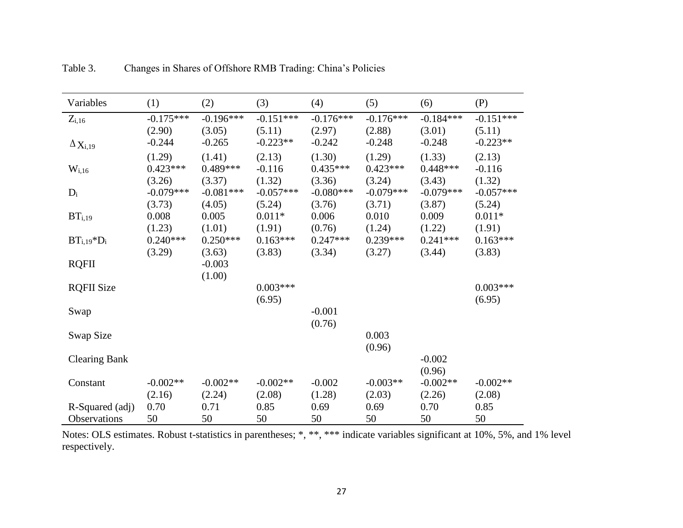| Variables                  | (1)         | (2)         | (3)         | (4)         | (5)         | (6)         | (P)         |
|----------------------------|-------------|-------------|-------------|-------------|-------------|-------------|-------------|
| $Z_{i,16}$                 | $-0.175***$ | $-0.196***$ | $-0.151***$ | $-0.176***$ | $-0.176***$ | $-0.184***$ | $-0.151***$ |
|                            | (2.90)      | (3.05)      | (5.11)      | (2.97)      | (2.88)      | (3.01)      | (5.11)      |
| $\Delta$ X <sub>i,19</sub> | $-0.244$    | $-0.265$    | $-0.223**$  | $-0.242$    | $-0.248$    | $-0.248$    | $-0.223**$  |
|                            | (1.29)      | (1.41)      | (2.13)      | (1.30)      | (1.29)      | (1.33)      | (2.13)      |
| $W_{i,16}$                 | $0.423***$  | $0.489***$  | $-0.116$    | $0.435***$  | $0.423***$  | $0.448***$  | $-0.116$    |
|                            | (3.26)      | (3.37)      | (1.32)      | (3.36)      | (3.24)      | (3.43)      | (1.32)      |
| $D_i$                      | $-0.079***$ | $-0.081***$ | $-0.057***$ | $-0.080***$ | $-0.079***$ | $-0.079***$ | $-0.057***$ |
|                            | (3.73)      | (4.05)      | (5.24)      | (3.76)      | (3.71)      | (3.87)      | (5.24)      |
| BT <sub>i,19</sub>         | 0.008       | 0.005       | $0.011*$    | 0.006       | 0.010       | 0.009       | $0.011*$    |
|                            | (1.23)      | (1.01)      | (1.91)      | (0.76)      | (1.24)      | (1.22)      | (1.91)      |
| $BT_{i,19} * D_i$          | $0.240***$  | $0.250***$  | $0.163***$  | $0.247***$  | $0.239***$  | $0.241***$  | $0.163***$  |
|                            | (3.29)      | (3.63)      | (3.83)      | (3.34)      | (3.27)      | (3.44)      | (3.83)      |
| <b>RQFII</b>               |             | $-0.003$    |             |             |             |             |             |
|                            |             | (1.00)      |             |             |             |             |             |
| <b>RQFII Size</b>          |             |             | $0.003***$  |             |             |             | $0.003***$  |
|                            |             |             | (6.95)      |             |             |             | (6.95)      |
| Swap                       |             |             |             | $-0.001$    |             |             |             |
|                            |             |             |             | (0.76)      |             |             |             |
| Swap Size                  |             |             |             |             | 0.003       |             |             |
|                            |             |             |             |             | (0.96)      |             |             |
| <b>Clearing Bank</b>       |             |             |             |             |             | $-0.002$    |             |
|                            |             |             |             |             |             | (0.96)      |             |
| Constant                   | $-0.002**$  | $-0.002**$  | $-0.002**$  | $-0.002$    | $-0.003**$  | $-0.002**$  | $-0.002**$  |
|                            | (2.16)      | (2.24)      | (2.08)      | (1.28)      | (2.03)      | (2.26)      | (2.08)      |
| R-Squared (adj)            | 0.70        | 0.71        | 0.85        | 0.69        | 0.69        | 0.70        | 0.85        |
| <b>Observations</b>        | 50          | 50          | 50          | 50          | 50          | 50          | 50          |

Table 3. Changes in Shares of Offshore RMB Trading: China's Policies

Notes: OLS estimates. Robust t-statistics in parentheses; \*, \*\*, \*\*\* indicate variables significant at 10%, 5%, and 1% level respectively.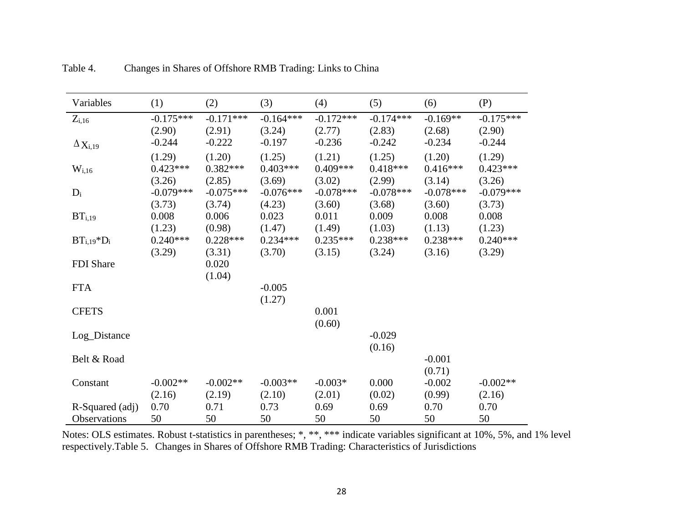| Variables                                | (1)                               | (2)                               | (3)                               | (4)                               | (5)                               | (6)                              | (P)                               |
|------------------------------------------|-----------------------------------|-----------------------------------|-----------------------------------|-----------------------------------|-----------------------------------|----------------------------------|-----------------------------------|
| $Z_{i,16}$<br>$\Delta$ X <sub>i,19</sub> | $-0.175***$<br>(2.90)<br>$-0.244$ | $-0.171***$<br>(2.91)<br>$-0.222$ | $-0.164***$<br>(3.24)<br>$-0.197$ | $-0.172***$<br>(2.77)<br>$-0.236$ | $-0.174***$<br>(2.83)<br>$-0.242$ | $-0.169**$<br>(2.68)<br>$-0.234$ | $-0.175***$<br>(2.90)<br>$-0.244$ |
|                                          | (1.29)                            | (1.20)                            | (1.25)                            | (1.21)                            | (1.25)                            | (1.20)                           | (1.29)                            |
| $W_{i,16}$                               | $0.423***$<br>(3.26)              | $0.382***$<br>(2.85)              | $0.403***$<br>(3.69)              | $0.409***$<br>(3.02)              | $0.418***$<br>(2.99)              | $0.416***$<br>(3.14)             | $0.423***$<br>(3.26)              |
| $D_i$                                    | $-0.079***$<br>(3.73)             | $-0.075***$<br>(3.74)             | $-0.076***$<br>(4.23)             | $-0.078***$<br>(3.60)             | $-0.078***$<br>(3.68)             | $-0.078***$<br>(3.60)            | $-0.079***$<br>(3.73)             |
| BT <sub>i,19</sub>                       | 0.008<br>(1.23)                   | 0.006<br>(0.98)                   | 0.023<br>(1.47)                   | 0.011<br>(1.49)                   | 0.009<br>(1.03)                   | 0.008<br>(1.13)                  | 0.008<br>(1.23)                   |
| $BT_{i,19} * D_i$                        | $0.240***$<br>(3.29)              | $0.228***$<br>(3.31)              | $0.234***$<br>(3.70)              | $0.235***$<br>(3.15)              | $0.238***$<br>(3.24)              | $0.238***$<br>(3.16)             | $0.240***$<br>(3.29)              |
| FDI Share                                |                                   | 0.020<br>(1.04)                   |                                   |                                   |                                   |                                  |                                   |
| <b>FTA</b>                               |                                   |                                   | $-0.005$<br>(1.27)                |                                   |                                   |                                  |                                   |
| <b>CFETS</b>                             |                                   |                                   |                                   | 0.001<br>(0.60)                   |                                   |                                  |                                   |
| Log_Distance                             |                                   |                                   |                                   |                                   | $-0.029$<br>(0.16)                |                                  |                                   |
| Belt & Road                              |                                   |                                   |                                   |                                   |                                   | $-0.001$<br>(0.71)               |                                   |
| Constant                                 | $-0.002**$<br>(2.16)              | $-0.002**$<br>(2.19)              | $-0.003**$<br>(2.10)              | $-0.003*$<br>(2.01)               | 0.000<br>(0.02)                   | $-0.002$<br>(0.99)               | $-0.002**$<br>(2.16)              |
| R-Squared (adj)                          | 0.70                              | 0.71                              | 0.73                              | 0.69                              | 0.69                              | 0.70                             | 0.70                              |
| Observations                             | 50                                | 50                                | 50                                | 50                                | 50                                | 50                               | 50                                |

Table 4. Changes in Shares of Offshore RMB Trading: Links to China

Notes: OLS estimates. Robust t-statistics in parentheses; \*, \*\*, \*\*\* indicate variables significant at 10%, 5%, and 1% level respectively.Table 5. Changes in Shares of Offshore RMB Trading: Characteristics of Jurisdictions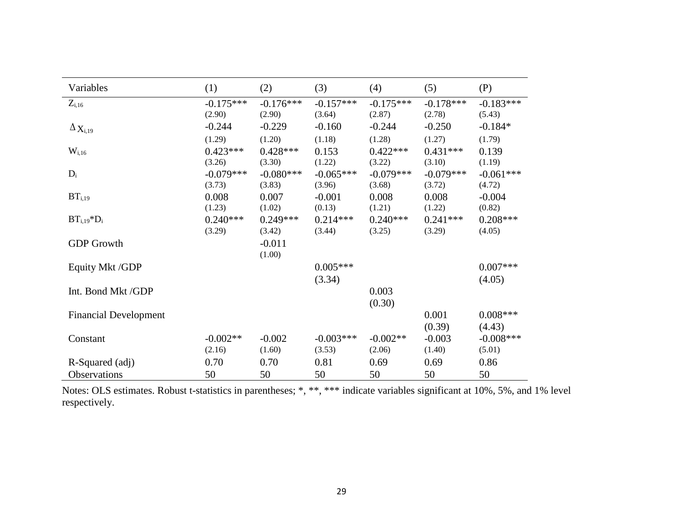| Variables                         | (1)         | (2)         | (3)         | (4)         | (5)         | (P)         |
|-----------------------------------|-------------|-------------|-------------|-------------|-------------|-------------|
| $Z_{i,16}$                        | $-0.175***$ | $-0.176***$ | $-0.157***$ | $-0.175***$ | $-0.178***$ | $-0.183***$ |
|                                   | (2.90)      | (2.90)      | (3.64)      | (2.87)      | (2.78)      | (5.43)      |
| $\Delta \mathbf{X}_{\text{i,19}}$ | $-0.244$    | $-0.229$    | $-0.160$    | $-0.244$    | $-0.250$    | $-0.184*$   |
|                                   | (1.29)      | (1.20)      | (1.18)      | (1.28)      | (1.27)      | (1.79)      |
| $W_{i,16}$                        | $0.423***$  | $0.428***$  | 0.153       | $0.422***$  | $0.431***$  | 0.139       |
|                                   | (3.26)      | (3.30)      | (1.22)      | (3.22)      | (3.10)      | (1.19)      |
| $D_i$                             | $-0.079***$ | $-0.080***$ | $-0.065***$ | $-0.079***$ | $-0.079***$ | $-0.061***$ |
|                                   | (3.73)      | (3.83)      | (3.96)      | (3.68)      | (3.72)      | (4.72)      |
| BT <sub>i,19</sub>                | 0.008       | 0.007       | $-0.001$    | 0.008       | 0.008       | $-0.004$    |
|                                   | (1.23)      | (1.02)      | (0.13)      | (1.21)      | (1.22)      | (0.82)      |
| $BT_{i,19} * D_i$                 | $0.240***$  | $0.249***$  | $0.214***$  | $0.240***$  | $0.241***$  | $0.208***$  |
|                                   | (3.29)      | (3.42)      | (3.44)      | (3.25)      | (3.29)      | (4.05)      |
| <b>GDP</b> Growth                 |             | $-0.011$    |             |             |             |             |
|                                   |             | (1.00)      |             |             |             |             |
| Equity Mkt /GDP                   |             |             | $0.005***$  |             |             | $0.007***$  |
|                                   |             |             | (3.34)      |             |             | (4.05)      |
| Int. Bond Mkt/GDP                 |             |             |             | 0.003       |             |             |
|                                   |             |             |             | (0.30)      |             |             |
| <b>Financial Development</b>      |             |             |             |             | 0.001       | $0.008***$  |
|                                   |             |             |             |             | (0.39)      | (4.43)      |
| Constant                          | $-0.002**$  | $-0.002$    | $-0.003***$ | $-0.002**$  | $-0.003$    | $-0.008***$ |
|                                   | (2.16)      | (1.60)      | (3.53)      | (2.06)      | (1.40)      | (5.01)      |
|                                   |             |             |             |             |             |             |
| R-Squared (adj)                   | 0.70        | 0.70        | 0.81        | 0.69        | 0.69        | 0.86        |
| Observations                      | 50          | 50          | 50          | 50          | 50          | 50          |

Notes: OLS estimates. Robust t-statistics in parentheses; \*, \*\*, \*\*\* indicate variables significant at 10%, 5%, and 1% level respectively.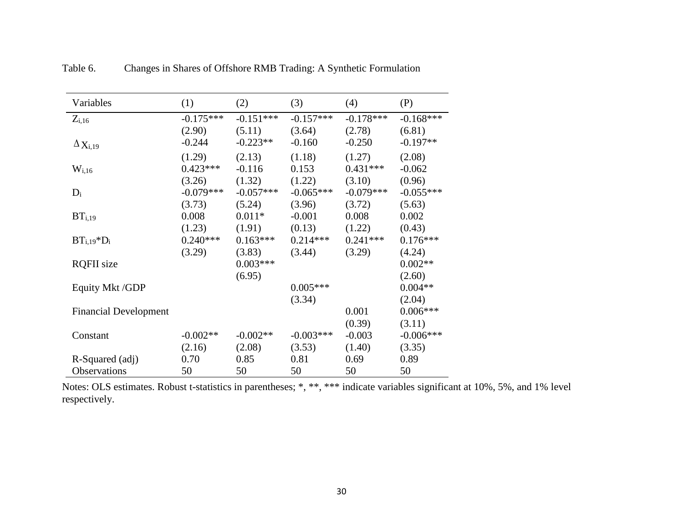| Variables                    | (1)         | (2)         | (3)         | (4)         | (P)         |
|------------------------------|-------------|-------------|-------------|-------------|-------------|
| $Z_{i,16}$                   | $-0.175***$ | $-0.151***$ | $-0.157***$ | $-0.178***$ | $-0.168***$ |
|                              | (2.90)      | (5.11)      | (3.64)      | (2.78)      | (6.81)      |
| $\Delta$ X <sub>i,19</sub>   | $-0.244$    | $-0.223**$  | $-0.160$    | $-0.250$    | $-0.197**$  |
|                              | (1.29)      | (2.13)      | (1.18)      | (1.27)      | (2.08)      |
| $W_{i,16}$                   | $0.423***$  | $-0.116$    | 0.153       | $0.431***$  | $-0.062$    |
|                              | (3.26)      | (1.32)      | (1.22)      | (3.10)      | (0.96)      |
| $D_i$                        | $-0.079***$ | $-0.057***$ | $-0.065***$ | $-0.079***$ | $-0.055***$ |
|                              | (3.73)      | (5.24)      | (3.96)      | (3.72)      | (5.63)      |
| BT <sub>i,19</sub>           | 0.008       | $0.011*$    | $-0.001$    | 0.008       | 0.002       |
|                              | (1.23)      | (1.91)      | (0.13)      | (1.22)      | (0.43)      |
| $BTi,19*Di$                  | $0.240***$  | $0.163***$  | $0.214***$  | $0.241***$  | $0.176***$  |
|                              | (3.29)      | (3.83)      | (3.44)      | (3.29)      | (4.24)      |
| <b>RQFII</b> size            |             | $0.003***$  |             |             | $0.002**$   |
|                              |             | (6.95)      |             |             | (2.60)      |
| Equity Mkt /GDP              |             |             | $0.005***$  |             | $0.004**$   |
|                              |             |             | (3.34)      |             | (2.04)      |
| <b>Financial Development</b> |             |             |             | 0.001       | $0.006***$  |
|                              |             |             |             | (0.39)      | (3.11)      |
| Constant                     | $-0.002**$  | $-0.002**$  | $-0.003***$ | $-0.003$    | $-0.006***$ |
|                              | (2.16)      | (2.08)      | (3.53)      | (1.40)      | (3.35)      |
| R-Squared (adj)              | 0.70        | 0.85        | 0.81        | 0.69        | 0.89        |
| Observations                 | 50          | 50          | 50          | 50          | 50          |

Table 6. Changes in Shares of Offshore RMB Trading: A Synthetic Formulation

Notes: OLS estimates. Robust t-statistics in parentheses; \*, \*\*, \*\*\* indicate variables significant at 10%, 5%, and 1% level respectively.